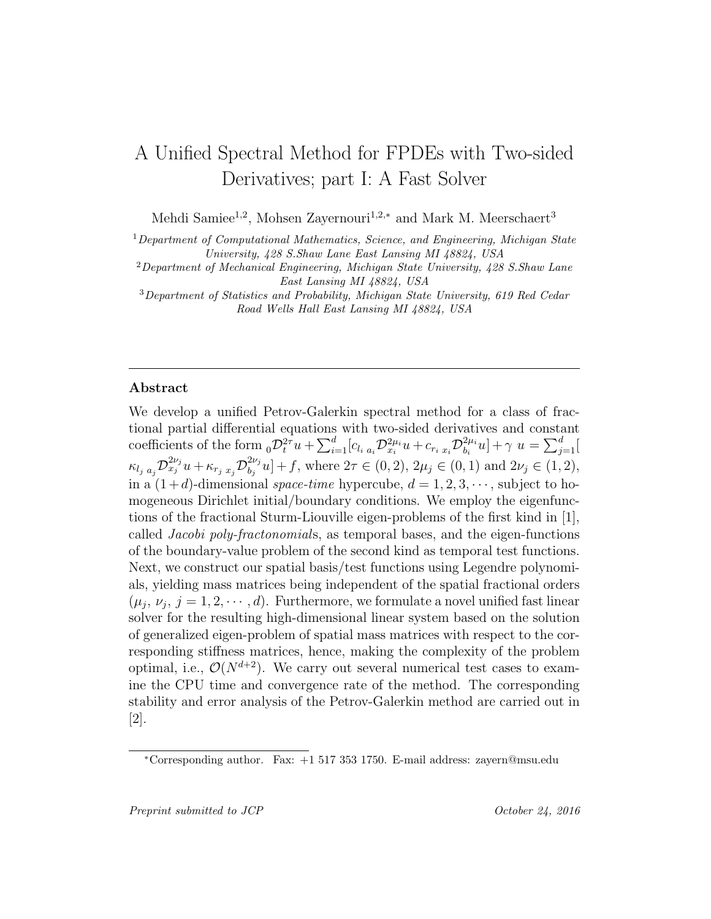# A Unified Spectral Method for FPDEs with Two-sided Derivatives; part I: A Fast Solver

Mehdi Samiee<sup>1,2</sup>, Mohsen Zayernouri<sup>1,2,\*</sup> and Mark M. Meerschaert<sup>3</sup>

<sup>1</sup>Department of Computational Mathematics, Science, and Engineering, Michigan State University, 428 S.Shaw Lane East Lansing MI 48824, USA

 $2$ Department of Mechanical Engineering, Michigan State University,  $428$  S.Shaw Lane East Lansing MI 48824, USA

<sup>3</sup>Department of Statistics and Probability, Michigan State University, 619 Red Cedar Road Wells Hall East Lansing MI 48824, USA

# Abstract

We develop a unified Petrov-Galerkin spectral method for a class of fractional partial differential equations with two-sided derivatives and constant coefficients of the form  $_0\mathcal{D}_t^{2\tau}u + \sum_{i=1}^d [c_{l_i a_i}\mathcal{D}_{x_i}^{2\mu_i}u + c_{r_i a_i}\mathcal{D}_{b_i}^{2\mu_i}]$  $_{b_i}^{2\mu_i}u$ ] +  $\gamma u = \sum_{j=1}^d [$  $\kappa_{l_{j}\; a_{j}}\mathcal{D}_{x_{j}}^{2\nu_{j}}u + \kappa_{r_{j}\; x_{j}}\mathcal{D}_{b_{j}}^{2\nu_{j}}$  $\{\psi_j^{2\nu_j}u\} + f$ , where  $2\tau \in (0, 2), 2\mu_j \in (0, 1)$  and  $2\nu_j \in (1, 2),$ in a  $(1+d)$ -dimensional space-time hypercube,  $d = 1, 2, 3, \cdots$ , subject to homogeneous Dirichlet initial/boundary conditions. We employ the eigenfunctions of the fractional Sturm-Liouville eigen-problems of the first kind in [1], called Jacobi poly-fractonomials, as temporal bases, and the eigen-functions of the boundary-value problem of the second kind as temporal test functions. Next, we construct our spatial basis/test functions using Legendre polynomials, yielding mass matrices being independent of the spatial fractional orders  $(\mu_j, \nu_j, j = 1, 2, \dots, d)$ . Furthermore, we formulate a novel unified fast linear solver for the resulting high-dimensional linear system based on the solution of generalized eigen-problem of spatial mass matrices with respect to the corresponding stiffness matrices, hence, making the complexity of the problem optimal, i.e.,  $\mathcal{O}(N^{d+2})$ . We carry out several numerical test cases to examine the CPU time and convergence rate of the method. The corresponding stability and error analysis of the Petrov-Galerkin method are carried out in [2].

<sup>∗</sup>Corresponding author. Fax: +1 517 353 1750. E-mail address: zayern@msu.edu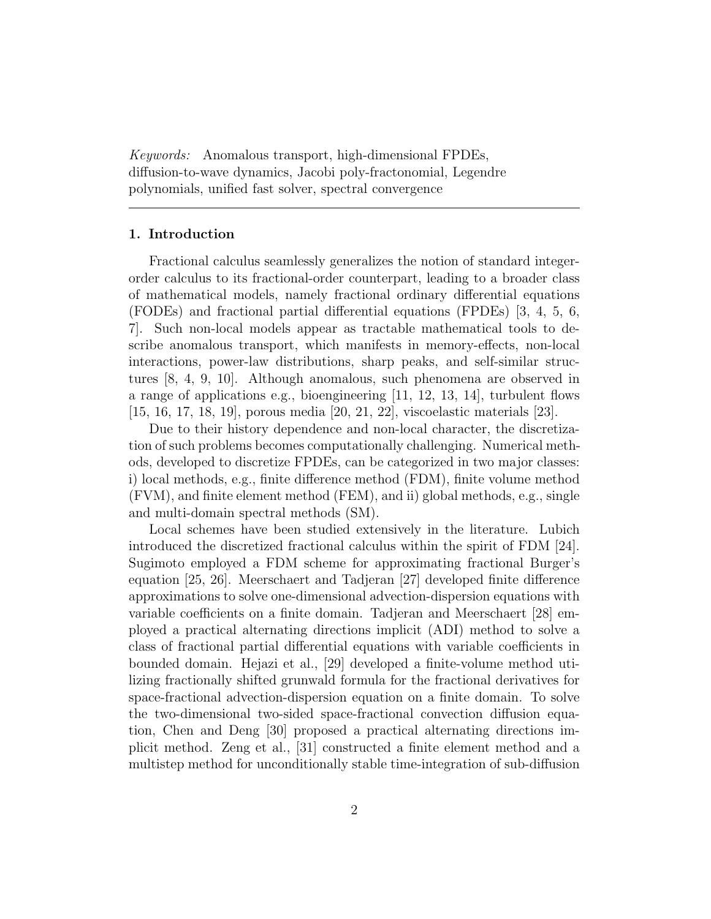Keywords: Anomalous transport, high-dimensional FPDEs, diffusion-to-wave dynamics, Jacobi poly-fractonomial, Legendre polynomials, unified fast solver, spectral convergence

# 1. Introduction

Fractional calculus seamlessly generalizes the notion of standard integerorder calculus to its fractional-order counterpart, leading to a broader class of mathematical models, namely fractional ordinary differential equations (FODEs) and fractional partial differential equations (FPDEs) [3, 4, 5, 6, 7]. Such non-local models appear as tractable mathematical tools to describe anomalous transport, which manifests in memory-effects, non-local interactions, power-law distributions, sharp peaks, and self-similar structures [8, 4, 9, 10]. Although anomalous, such phenomena are observed in a range of applications e.g., bioengineering [11, 12, 13, 14], turbulent flows [15, 16, 17, 18, 19], porous media [20, 21, 22], viscoelastic materials [23].

Due to their history dependence and non-local character, the discretization of such problems becomes computationally challenging. Numerical methods, developed to discretize FPDEs, can be categorized in two major classes: i) local methods, e.g., finite difference method (FDM), finite volume method (FVM), and finite element method (FEM), and ii) global methods, e.g., single and multi-domain spectral methods (SM).

Local schemes have been studied extensively in the literature. Lubich introduced the discretized fractional calculus within the spirit of FDM [24]. Sugimoto employed a FDM scheme for approximating fractional Burger's equation [25, 26]. Meerschaert and Tadjeran [27] developed finite difference approximations to solve one-dimensional advection-dispersion equations with variable coefficients on a finite domain. Tadjeran and Meerschaert [28] employed a practical alternating directions implicit (ADI) method to solve a class of fractional partial differential equations with variable coefficients in bounded domain. Hejazi et al., [29] developed a finite-volume method utilizing fractionally shifted grunwald formula for the fractional derivatives for space-fractional advection-dispersion equation on a finite domain. To solve the two-dimensional two-sided space-fractional convection diffusion equation, Chen and Deng [30] proposed a practical alternating directions implicit method. Zeng et al., [31] constructed a finite element method and a multistep method for unconditionally stable time-integration of sub-diffusion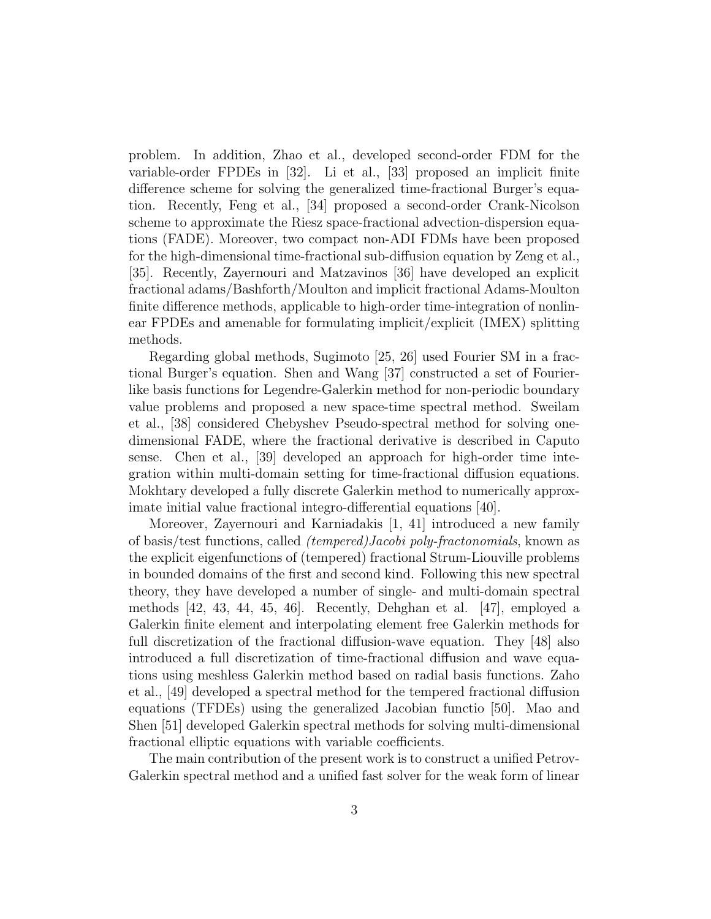problem. In addition, Zhao et al., developed second-order FDM for the variable-order FPDEs in [32]. Li et al., [33] proposed an implicit finite difference scheme for solving the generalized time-fractional Burger's equation. Recently, Feng et al., [34] proposed a second-order Crank-Nicolson scheme to approximate the Riesz space-fractional advection-dispersion equations (FADE). Moreover, two compact non-ADI FDMs have been proposed for the high-dimensional time-fractional sub-diffusion equation by Zeng et al., [35]. Recently, Zayernouri and Matzavinos [36] have developed an explicit fractional adams/Bashforth/Moulton and implicit fractional Adams-Moulton finite difference methods, applicable to high-order time-integration of nonlinear FPDEs and amenable for formulating implicit/explicit (IMEX) splitting methods.

Regarding global methods, Sugimoto [25, 26] used Fourier SM in a fractional Burger's equation. Shen and Wang [37] constructed a set of Fourierlike basis functions for Legendre-Galerkin method for non-periodic boundary value problems and proposed a new space-time spectral method. Sweilam et al., [38] considered Chebyshev Pseudo-spectral method for solving onedimensional FADE, where the fractional derivative is described in Caputo sense. Chen et al., [39] developed an approach for high-order time integration within multi-domain setting for time-fractional diffusion equations. Mokhtary developed a fully discrete Galerkin method to numerically approximate initial value fractional integro-differential equations [40].

Moreover, Zayernouri and Karniadakis [1, 41] introduced a new family of basis/test functions, called (tempered)Jacobi poly-fractonomials, known as the explicit eigenfunctions of (tempered) fractional Strum-Liouville problems in bounded domains of the first and second kind. Following this new spectral theory, they have developed a number of single- and multi-domain spectral methods [42, 43, 44, 45, 46]. Recently, Dehghan et al. [47], employed a Galerkin finite element and interpolating element free Galerkin methods for full discretization of the fractional diffusion-wave equation. They [48] also introduced a full discretization of time-fractional diffusion and wave equations using meshless Galerkin method based on radial basis functions. Zaho et al., [49] developed a spectral method for the tempered fractional diffusion equations (TFDEs) using the generalized Jacobian functio [50]. Mao and Shen [51] developed Galerkin spectral methods for solving multi-dimensional fractional elliptic equations with variable coefficients.

The main contribution of the present work is to construct a unified Petrov-Galerkin spectral method and a unified fast solver for the weak form of linear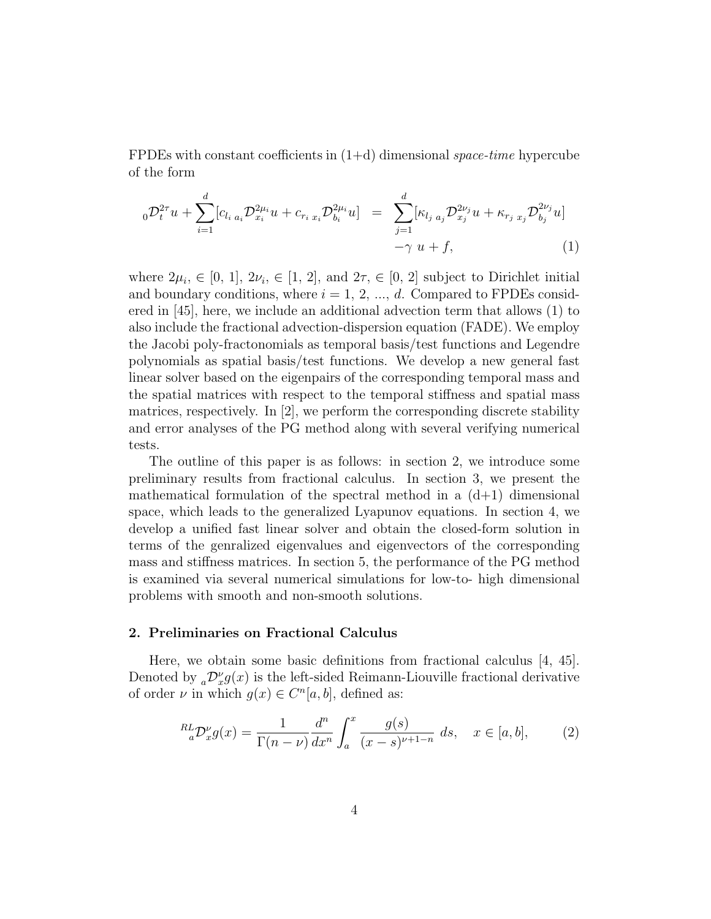FPDEs with constant coefficients in  $(1+d)$  dimensional space-time hypercube of the form

$$
{}_{0}\mathcal{D}_{t}^{2\tau}u + \sum_{i=1}^{d} [c_{l_{i} a_{i}}\mathcal{D}_{x_{i}}^{2\mu_{i}}u + c_{r_{i} a_{i}}\mathcal{D}_{b_{i}}^{2\mu_{i}}u] = \sum_{j=1}^{d} [\kappa_{l_{j} a_{j}}\mathcal{D}_{x_{j}}^{2\nu_{j}}u + \kappa_{r_{j} a_{j}}\mathcal{D}_{b_{j}}^{2\nu_{j}}u] - \gamma u + f,
$$
\n(1)

where  $2\mu_i \in [0, 1], 2\nu_i \in [1, 2],$  and  $2\tau \in [0, 2]$  subject to Dirichlet initial and boundary conditions, where  $i = 1, 2, ..., d$ . Compared to FPDEs considered in [45], here, we include an additional advection term that allows (1) to also include the fractional advection-dispersion equation (FADE). We employ the Jacobi poly-fractonomials as temporal basis/test functions and Legendre polynomials as spatial basis/test functions. We develop a new general fast linear solver based on the eigenpairs of the corresponding temporal mass and the spatial matrices with respect to the temporal stiffness and spatial mass matrices, respectively. In  $[2]$ , we perform the corresponding discrete stability and error analyses of the PG method along with several verifying numerical tests.

The outline of this paper is as follows: in section 2, we introduce some preliminary results from fractional calculus. In section 3, we present the mathematical formulation of the spectral method in a  $(d+1)$  dimensional space, which leads to the generalized Lyapunov equations. In section 4, we develop a unified fast linear solver and obtain the closed-form solution in terms of the genralized eigenvalues and eigenvectors of the corresponding mass and stiffness matrices. In section 5, the performance of the PG method is examined via several numerical simulations for low-to- high dimensional problems with smooth and non-smooth solutions.

#### 2. Preliminaries on Fractional Calculus

Here, we obtain some basic definitions from fractional calculus [4, 45]. Denoted by  $_{a}\mathcal{D}_{x}^{\nu}g(x)$  is the left-sided Reimann-Liouville fractional derivative of order  $\nu$  in which  $g(x) \in C^n[a, b]$ , defined as:

$$
{}_{a}^{RL} \mathcal{D}_{x}^{\nu} g(x) = \frac{1}{\Gamma(n-\nu)} \frac{d^{n}}{dx^{n}} \int_{a}^{x} \frac{g(s)}{(x-s)^{\nu+1-n}} ds, \quad x \in [a, b], \tag{2}
$$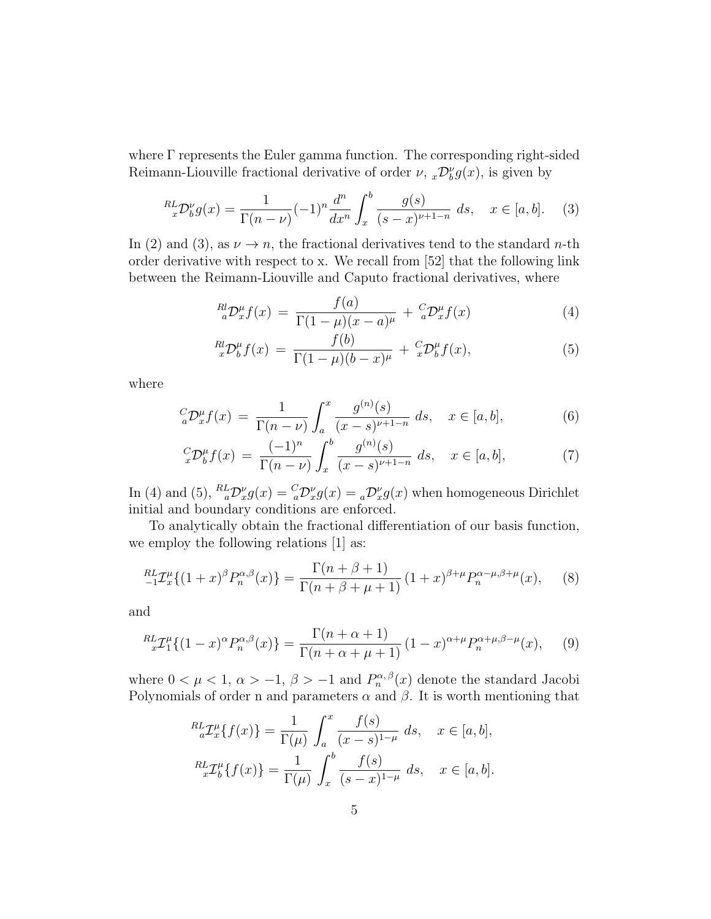where Γ represents the Euler gamma function. The corresponding right-sided Reimann-Liouville fractional derivative of order  $\nu$ ,  $\mathcal{D}_{b}^{\nu}g(x)$ , is given by

$$
{}_{x}^{RL} \mathcal{D}_{b}^{\nu} g(x) = \frac{1}{\Gamma(n-\nu)} (-1)^{n} \frac{d^{n}}{dx^{n}} \int_{x}^{b} \frac{g(s)}{(s-x)^{\nu+1-n}} ds, \quad x \in [a, b]. \tag{3}
$$

In (2) and (3), as  $\nu \to n$ , the fractional derivatives tend to the standard *n*-th order derivative with respect to x. We recall from [52] that the following link between the Reimann-Liouville and Caputo fractional derivatives, where

$$
{}_{a}^{Rl}D_{x}^{\mu}f(x) = \frac{f(a)}{\Gamma(1-\mu)(x-a)^{\mu}} + {}_{a}^{C}D_{x}^{\mu}f(x)
$$
(4)

$$
{}_{x}^{Rl}D_{b}^{\mu}f(x) = \frac{f(b)}{\Gamma(1-\mu)(b-x)^{\mu}} + {}_{x}^{C}D_{b}^{\mu}f(x), \qquad (5)
$$

where

$$
{}_{a}^{C} \mathcal{D}_{x}^{\mu} f(x) = \frac{1}{\Gamma(n-\nu)} \int_{a}^{x} \frac{g^{(n)}(s)}{(x-s)^{\nu+1-n}} ds, \quad x \in [a, b], \tag{6}
$$

$$
{}_{x}^{C} \mathcal{D}_{b}^{\mu} f(x) = \frac{(-1)^{n}}{\Gamma(n-\nu)} \int_{x}^{b} \frac{g^{(n)}(s)}{(x-s)^{\nu+1-n}} ds, \quad x \in [a, b], \tag{7}
$$

In (4) and (5),  ${}_{a}^{RL}D_x^{\nu}g(x) = {}_{a}^{C}D_x^{\nu}g(x) = {}_{a}D_x^{\nu}g(x)$  when homogeneous Dirichlet initial and boundary conditions are enforced.

To analytically obtain the fractional differentiation of our basis function, we employ the following relations [1] as:

$$
{}_{-1}^{RL} \mathcal{I}_{x}^{\mu} \{(1+x)^{\beta} P_{n}^{\alpha,\beta}(x)\} = \frac{\Gamma(n+\beta+1)}{\Gamma(n+\beta+\mu+1)} \left(1+x\right)^{\beta+\mu} P_{n}^{\alpha-\mu,\beta+\mu}(x),\tag{8}
$$

and

$$
{}^{RL}_{x} \mathcal{I}_{1}^{\mu} \{(1-x)^{\alpha} P_{n}^{\alpha,\beta}(x)\} = \frac{\Gamma(n+\alpha+1)}{\Gamma(n+\alpha+\mu+1)} \left(1-x\right)^{\alpha+\mu} P_{n}^{\alpha+\mu,\beta-\mu}(x), \quad (9)
$$

where  $0 < \mu < 1$ ,  $\alpha > -1$ ,  $\beta > -1$  and  $P_n^{\alpha,\beta}(x)$  denote the standard Jacobi Polynomials of order n and parameters  $\alpha$  and  $\beta$ . It is worth mentioning that

$$
{}_{a}^{RL} \mathcal{I}_{x}^{\mu} \{ f(x) \} = \frac{1}{\Gamma(\mu)} \int_{a}^{x} \frac{f(s)}{(x-s)^{1-\mu}} ds, \quad x \in [a, b],
$$
  

$$
{}_{x}^{RL} \mathcal{I}_{b}^{\mu} \{ f(x) \} = \frac{1}{\Gamma(\mu)} \int_{x}^{b} \frac{f(s)}{(s-x)^{1-\mu}} ds, \quad x \in [a, b].
$$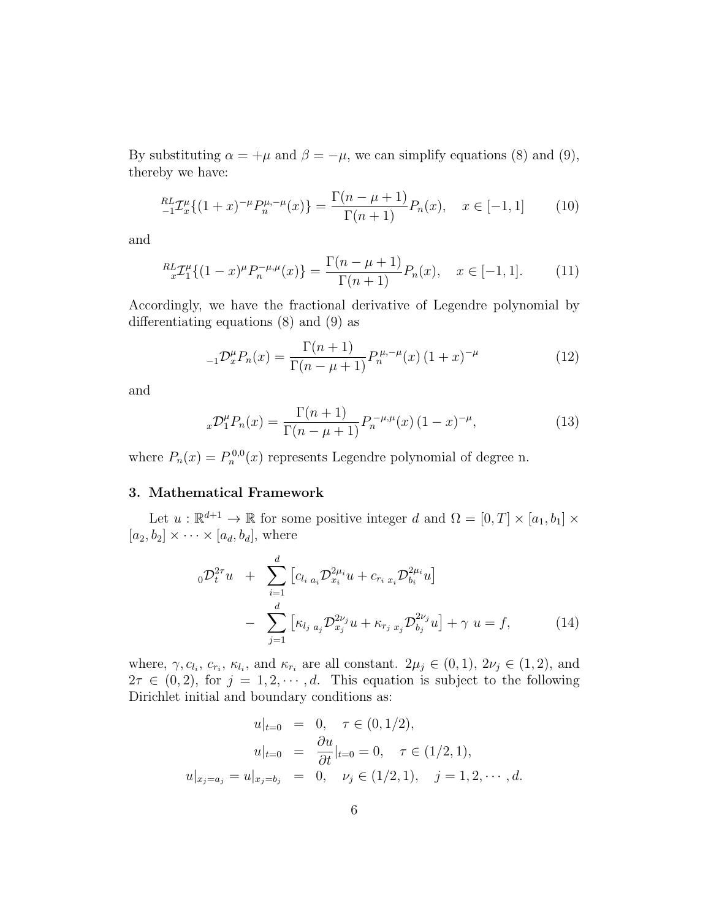By substituting  $\alpha = +\mu$  and  $\beta = -\mu$ , we can simplify equations (8) and (9), thereby we have:

$$
{}_{-1}^{RL} \mathcal{I}_x^{\mu} \{ (1+x)^{-\mu} P_n^{\mu, -\mu}(x) \} = \frac{\Gamma(n-\mu+1)}{\Gamma(n+1)} P_n(x), \quad x \in [-1, 1] \tag{10}
$$

and

$$
{}^{RL}_{x} \mathcal{I}_{1}^{\mu} \{(1-x)^{\mu} P_{n}^{-\mu,\mu}(x)\} = \frac{\Gamma(n-\mu+1)}{\Gamma(n+1)} P_{n}(x), \quad x \in [-1,1]. \tag{11}
$$

Accordingly, we have the fractional derivative of Legendre polynomial by differentiating equations (8) and (9) as

$$
{}_{-1}\mathcal{D}_x^{\mu}P_n(x) = \frac{\Gamma(n+1)}{\Gamma(n-\mu+1)} P_n^{\mu,-\mu}(x) \left(1+x\right)^{-\mu} \tag{12}
$$

and

$$
{}_{x}\mathcal{D}_{1}^{\mu}P_{n}(x) = \frac{\Gamma(n+1)}{\Gamma(n-\mu+1)} P_{n}^{-\mu,\mu}(x) (1-x)^{-\mu}, \qquad (13)
$$

where  $P_n(x) = P_n^{0,0}(x)$  represents Legendre polynomial of degree n.

# 3. Mathematical Framework

Let  $u : \mathbb{R}^{d+1} \to \mathbb{R}$  for some positive integer d and  $\Omega = [0, T] \times [a_1, b_1] \times$  $[a_2, b_2] \times \cdots \times [a_d, b_d]$ , where

$$
{}_{0}\mathcal{D}_{t}^{2\tau}u + \sum_{i=1}^{d} \left[c_{l_{i} a_{i}} \mathcal{D}_{x_{i}}^{2\mu_{i}}u + c_{r_{i} a_{i}} \mathcal{D}_{b_{i}}^{2\mu_{i}}u\right] - \sum_{j=1}^{d} \left[\kappa_{l_{j} a_{j}} \mathcal{D}_{x_{j}}^{2\nu_{j}}u + \kappa_{r_{j} a_{j}} \mathcal{D}_{b_{j}}^{2\nu_{j}}u\right] + \gamma u = f,
$$
 (14)

where,  $\gamma, c_{l_i}, c_{r_i}, \kappa_{l_i}$ , and  $\kappa_{r_i}$  are all constant.  $2\mu_j \in (0, 1), 2\nu_j \in (1, 2)$ , and  $2\tau \in (0, 2)$ , for  $j = 1, 2, \dots, d$ . This equation is subject to the following Dirichlet initial and boundary conditions as:

$$
u|_{t=0} = 0, \quad \tau \in (0, 1/2),
$$
  
\n
$$
u|_{t=0} = \frac{\partial u}{\partial t}|_{t=0} = 0, \quad \tau \in (1/2, 1),
$$
  
\n
$$
u|_{x_j=a_j} = u|_{x_j=b_j} = 0, \quad \nu_j \in (1/2, 1), \quad j = 1, 2, \cdots, d.
$$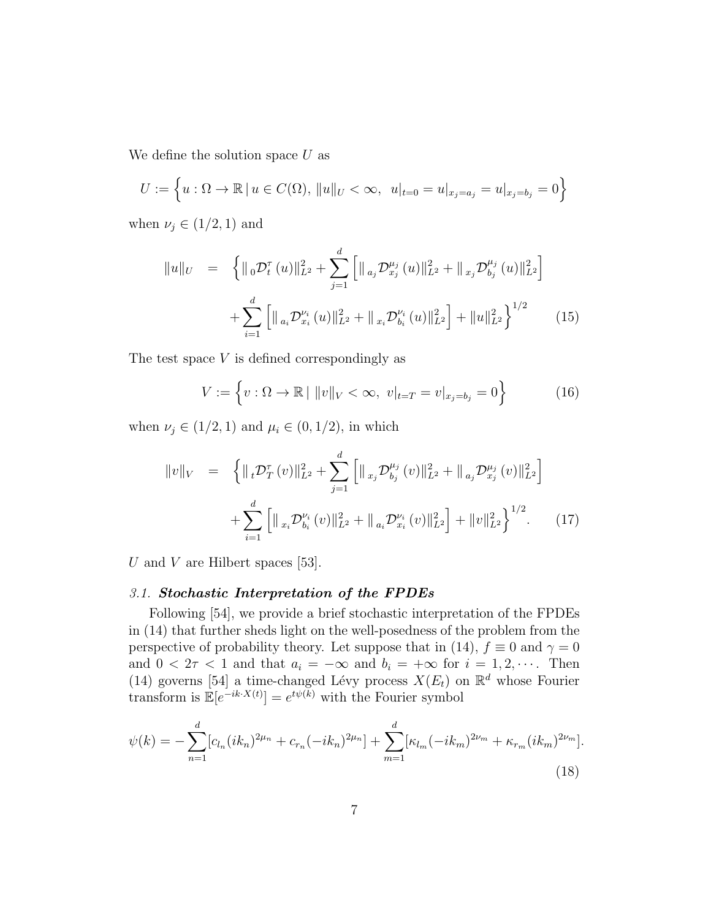We define the solution space  $U$  as

$$
U := \left\{ u : \Omega \to \mathbb{R} \, | \, u \in C(\Omega), \, \|u\|_{U} < \infty, \, u|_{t=0} = u|_{x_j = a_j} = u|_{x_j = b_j} = 0 \right\}
$$

when  $\nu_i \in (1/2, 1)$  and

$$
||u||_{U} = \left\{ ||_{0} \mathcal{D}_{t}^{\tau}(u)||_{L^{2}}^{2} + \sum_{j=1}^{d} \left[ ||_{a_{j}} \mathcal{D}_{x_{j}}^{\mu_{j}}(u)||_{L^{2}}^{2} + ||_{x_{j}} \mathcal{D}_{b_{j}}^{\mu_{j}}(u)||_{L^{2}}^{2} \right] + \sum_{i=1}^{d} \left[ ||_{a_{i}} \mathcal{D}_{x_{i}}^{\nu_{i}}(u)||_{L^{2}}^{2} + ||_{x_{i}} \mathcal{D}_{b_{i}}^{\nu_{i}}(u)||_{L^{2}}^{2} \right] + ||u||_{L^{2}}^{2} \right\}^{1/2}
$$
(15)

The test space  $V$  is defined correspondingly as

$$
V := \left\{ v : \Omega \to \mathbb{R} \mid ||v||_{V} < \infty, \ v|_{t=T} = v|_{x_j = b_j} = 0 \right\}
$$
 (16)

when  $\nu_j \in (1/2, 1)$  and  $\mu_i \in (0, 1/2)$ , in which

$$
||v||_V = \left\{ ||{}_t \mathcal{D}_T^{\tau}(v)||_{L^2}^2 + \sum_{j=1}^d \left[ ||_{x_j} \mathcal{D}_{b_j}^{\mu_j}(v)||_{L^2}^2 + ||_{a_j} \mathcal{D}_{x_j}^{\mu_j}(v)||_{L^2}^2 \right] \right\}
$$
  
+ 
$$
\sum_{i=1}^d \left[ ||_{x_i} \mathcal{D}_{b_i}^{\nu_i}(v)||_{L^2}^2 + ||_{a_i} \mathcal{D}_{x_i}^{\nu_i}(v)||_{L^2}^2 \right\}^{1/2}.
$$
 (17)

U and V are Hilbert spaces [53].

# 3.1. Stochastic Interpretation of the FPDEs

Following [54], we provide a brief stochastic interpretation of the FPDEs in (14) that further sheds light on the well-posedness of the problem from the perspective of probability theory. Let suppose that in (14),  $f \equiv 0$  and  $\gamma = 0$ and  $0 < 2\tau < 1$  and that  $a_i = -\infty$  and  $b_i = +\infty$  for  $i = 1, 2, \cdots$ . Then (14) governs [54] a time-changed Lévy process  $X(E_t)$  on  $\mathbb{R}^d$  whose Fourier transform is  $\mathbb{E}[e^{-ik \cdot X(t)}] = e^{t\psi(k)}$  with the Fourier symbol

$$
\psi(k) = -\sum_{n=1}^{d} [c_{l_n}(ik_n)^{2\mu_n} + c_{r_n}(-ik_n)^{2\mu_n}] + \sum_{m=1}^{d} [\kappa_{l_m}(-ik_m)^{2\nu_m} + \kappa_{r_m}(ik_m)^{2\nu_m}].
$$
\n(18)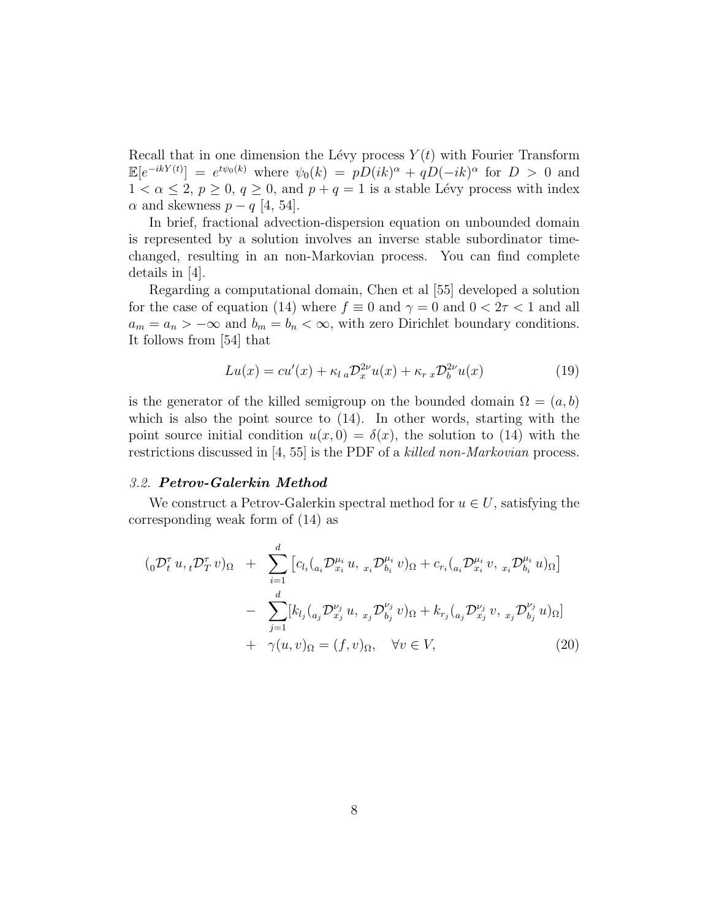Recall that in one dimension the Lévy process  $Y(t)$  with Fourier Transform  $\mathbb{E}[e^{-ikY(t)}] = e^{t\psi_0(k)}$  where  $\psi_0(k) = pD(ik)^{\alpha} + qD(-ik)^{\alpha}$  for  $D > 0$  and  $1 < \alpha \leq 2, p \geq 0, q \geq 0$ , and  $p + q = 1$  is a stable Lévy process with index  $\alpha$  and skewness  $p - q$  [4, 54].

In brief, fractional advection-dispersion equation on unbounded domain is represented by a solution involves an inverse stable subordinator timechanged, resulting in an non-Markovian process. You can find complete details in [4].

Regarding a computational domain, Chen et al [55] developed a solution for the case of equation (14) where  $f \equiv 0$  and  $\gamma = 0$  and  $0 < 2\tau < 1$  and all  $a_m = a_n > -\infty$  and  $b_m = b_n < \infty$ , with zero Dirichlet boundary conditions. It follows from [54] that

$$
Lu(x) = cu'(x) + \kappa_{l a} \mathcal{D}_x^{2\nu} u(x) + \kappa_{r x} \mathcal{D}_b^{2\nu} u(x)
$$
\n(19)

is the generator of the killed semigroup on the bounded domain  $\Omega = (a, b)$ which is also the point source to  $(14)$ . In other words, starting with the point source initial condition  $u(x, 0) = \delta(x)$ , the solution to (14) with the restrictions discussed in [4, 55] is the PDF of a killed non-Markovian process.

#### 3.2. Petrov-Galerkin Method

We construct a Petrov-Galerkin spectral method for  $u \in U$ , satisfying the corresponding weak form of (14) as

$$
\begin{split}\n &\left( {}_{0}\mathcal{D}_{t}^{\tau} u, {}_{t}\mathcal{D}_{T}^{\tau} v \right)_{\Omega} + \sum_{i=1}^{d} \left[ c_{l_{i}} \left( {}_{a_{i}}\mathcal{D}_{x_{i}}^{\mu_{i}} u, {}_{x_{i}}\mathcal{D}_{b_{i}}^{\mu_{i}} v \right)_{\Omega} + c_{r_{i}} \left( {}_{a_{i}}\mathcal{D}_{x_{i}}^{\mu_{i}} v, {}_{x_{i}}\mathcal{D}_{b_{i}}^{\mu_{i}} u \right)_{\Omega} \right] \\
 &\quad - \sum_{j=1}^{d} \left[ k_{l_{j}} \left( {}_{a_{j}}\mathcal{D}_{x_{j}}^{\nu_{j}} u, {}_{x_{j}}\mathcal{D}_{b_{j}}^{\nu_{j}} v \right)_{\Omega} + k_{r_{j}} \left( {}_{a_{j}}\mathcal{D}_{x_{j}}^{\nu_{j}} v, {}_{x_{j}}\mathcal{D}_{b_{j}}^{\nu_{j}} u \right)_{\Omega} \right] \\
 &\quad + \gamma (u, v)_{\Omega} = (f, v)_{\Omega}, \quad \forall v \in V,\n\end{split}
$$
\n
$$
\tag{20}
$$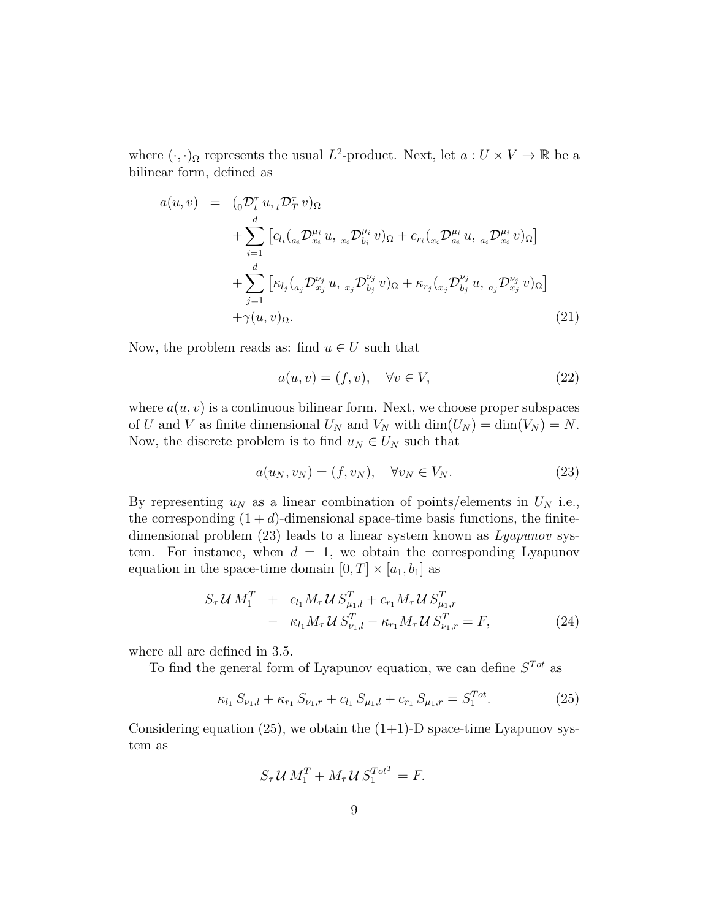where  $(\cdot, \cdot)_{\Omega}$  represents the usual  $L^2$ -product. Next, let  $a: U \times V \to \mathbb{R}$  be a bilinear form, defined as

$$
a(u, v) = \left( {}_{0}\mathcal{D}_{t}^{\tau} u, {}_{t}\mathcal{D}_{T}^{\tau} v \right)_{\Omega} + \sum_{i=1}^{d} \left[ c_{l_{i}} ({}_{a_{i}}\mathcal{D}_{x_{i}}^{\mu_{i}} u, {}_{x_{i}}\mathcal{D}_{b_{i}}^{\mu_{i}} v)_{\Omega} + c_{r_{i}} ({}_{x_{i}}\mathcal{D}_{a_{i}}^{\mu_{i}} u, {}_{a_{i}}\mathcal{D}_{x_{i}}^{\mu_{i}} v)_{\Omega} \right] + \sum_{j=1}^{d} \left[ \kappa_{l_{j}} ({}_{a_{j}}\mathcal{D}_{x_{j}}^{\nu_{j}} u, {}_{x_{j}}\mathcal{D}_{b_{j}}^{\nu_{j}} v)_{\Omega} + \kappa_{r_{j}} ({}_{x_{j}}\mathcal{D}_{b_{j}}^{\nu_{j}} u, {}_{a_{j}}\mathcal{D}_{x_{j}}^{\nu_{j}} v)_{\Omega} \right] + \gamma(u, v)_{\Omega}.
$$
\n(21)

Now, the problem reads as: find  $u \in U$  such that

$$
a(u, v) = (f, v), \quad \forall v \in V,
$$
\n
$$
(22)
$$

where  $a(u, v)$  is a continuous bilinear form. Next, we choose proper subspaces of U and V as finite dimensional  $U_N$  and  $V_N$  with  $\dim(U_N) = \dim(V_N) = N$ . Now, the discrete problem is to find  $u_N \in U_N$  such that

$$
a(u_N, v_N) = (f, v_N), \quad \forall v_N \in V_N.
$$
\n
$$
(23)
$$

By representing  $u_N$  as a linear combination of points/elements in  $U_N$  i.e., the corresponding  $(1 + d)$ -dimensional space-time basis functions, the finitedimensional problem (23) leads to a linear system known as *Lyapunov* system. For instance, when  $d = 1$ , we obtain the corresponding Lyapunov equation in the space-time domain  $[0, T] \times [a_1, b_1]$  as

$$
S_{\tau} \mathcal{U} M_1^T + c_{l_1} M_{\tau} \mathcal{U} S_{\mu_1, l}^T + c_{r_1} M_{\tau} \mathcal{U} S_{\mu_1, r}^T
$$
  
-  $\kappa_{l_1} M_{\tau} \mathcal{U} S_{\nu_1, l}^T - \kappa_{r_1} M_{\tau} \mathcal{U} S_{\nu_1, r}^T = F,$  (24)

where all are defined in 3.5.

To find the general form of Lyapunov equation, we can define  $S^{Tot}$  as

$$
\kappa_{l_1} S_{\nu_1,l} + \kappa_{r_1} S_{\nu_1,r} + c_{l_1} S_{\mu_1,l} + c_{r_1} S_{\mu_1,r} = S_1^{Tot}.
$$
 (25)

Considering equation (25), we obtain the  $(1+1)$ -D space-time Lyapunov system as

$$
S_{\tau} \mathcal{U} M_1^T + M_{\tau} \mathcal{U} S_1^{Tot^T} = F.
$$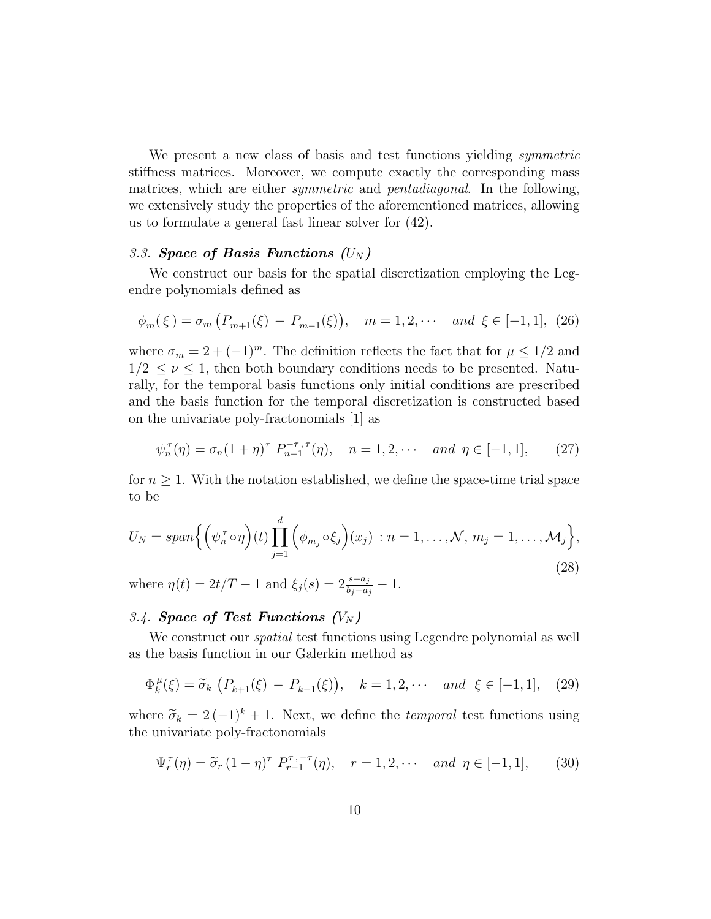We present a new class of basis and test functions yielding *symmetric* stiffness matrices. Moreover, we compute exactly the corresponding mass matrices, which are either *symmetric* and *pentadiagonal*. In the following, we extensively study the properties of the aforementioned matrices, allowing us to formulate a general fast linear solver for (42).

## 3.3. Space of Basis Functions  $(U_N)$

We construct our basis for the spatial discretization employing the Legendre polynomials defined as

$$
\phi_m(\xi) = \sigma_m \left( P_{m+1}(\xi) - P_{m-1}(\xi) \right), \quad m = 1, 2, \cdots \quad and \ \xi \in [-1, 1], \ (26)
$$

where  $\sigma_m = 2 + (-1)^m$ . The definition reflects the fact that for  $\mu \leq 1/2$  and  $1/2 \leq \nu \leq 1$ , then both boundary conditions needs to be presented. Naturally, for the temporal basis functions only initial conditions are prescribed and the basis function for the temporal discretization is constructed based on the univariate poly-fractonomials [1] as

$$
\psi_n^{\tau}(\eta) = \sigma_n (1 + \eta)^{\tau} P_{n-1}^{-\tau, \tau}(\eta), \quad n = 1, 2, \cdots \quad \text{and } \eta \in [-1, 1], \tag{27}
$$

for  $n \geq 1$ . With the notation established, we define the space-time trial space to be

$$
U_N = span\Big\{ \Big(\psi_n^{\tau} \circ \eta\Big)(t) \prod_{j=1}^d \Big(\phi_{m_j} \circ \xi_j\Big)(x_j) : n = 1, \dots, \mathcal{N}, m_j = 1, \dots, \mathcal{M}_j \Big\},\tag{28}
$$

where  $\eta(t) = 2t/T - 1$  and  $\xi_j(s) = 2\frac{s - a_j}{b_j - a_j} - 1$ .

## 3.4. Space of Test Functions  $(V_N)$

We construct our *spatial* test functions using Legendre polynomial as well as the basis function in our Galerkin method as

$$
\Phi_k^{\mu}(\xi) = \tilde{\sigma}_k \left( P_{k+1}(\xi) - P_{k-1}(\xi) \right), \quad k = 1, 2, \cdots \quad and \quad \xi \in [-1, 1], \quad (29)
$$

where  $\widetilde{\sigma}_k = 2(-1)^k + 1$ . Next, we define the *temporal* test functions using the univariate poly-fractonomials

$$
\Psi_r^{\tau}(\eta) = \tilde{\sigma}_r (1 - \eta)^{\tau} P_{r-1}^{\tau, -\tau}(\eta), \quad r = 1, 2, \cdots \quad \text{and } \eta \in [-1, 1], \tag{30}
$$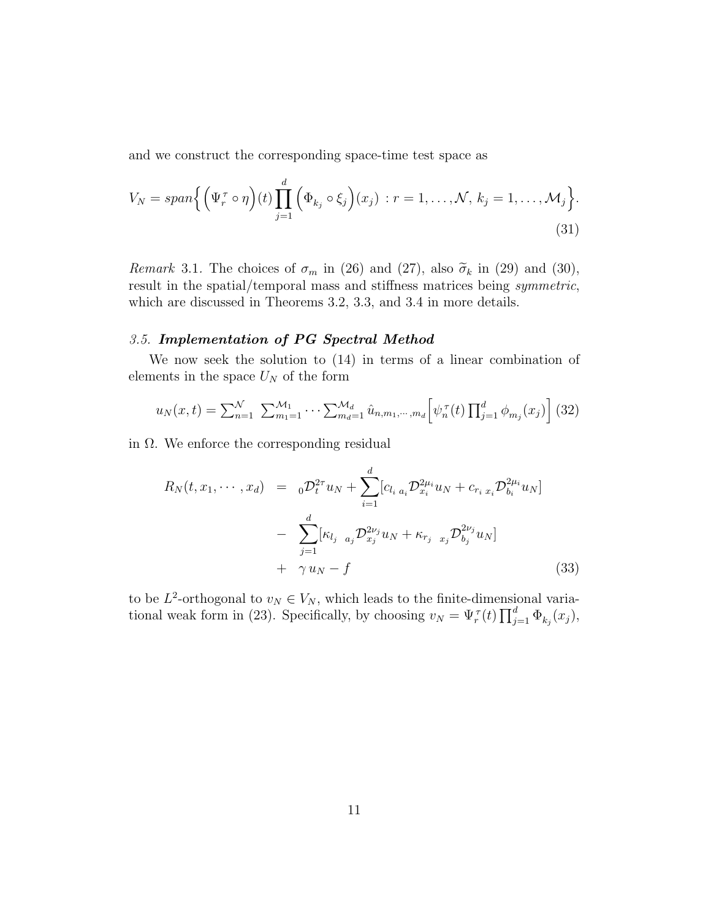and we construct the corresponding space-time test space as

$$
V_N = span\Big\{ \Big(\Psi_r^{\tau} \circ \eta\Big)(t) \prod_{j=1}^d \Big(\Phi_{k_j} \circ \xi_j\Big)(x_j) : r = 1, \dots, \mathcal{N}, k_j = 1, \dots, \mathcal{M}_j \Big\}.
$$
\n(31)

Remark 3.1. The choices of  $\sigma_m$  in (26) and (27), also  $\tilde{\sigma}_k$  in (29) and (30), result in the spatial/temporal mass and stiffness matrices being *symmetric*, which are discussed in Theorems 3.2, 3.3, and 3.4 in more details.

# 3.5. Implementation of PG Spectral Method

We now seek the solution to (14) in terms of a linear combination of elements in the space  $U_N$  of the form

$$
u_N(x,t) = \sum_{n=1}^{N} \sum_{m_1=1}^{M_1} \cdots \sum_{m_d=1}^{M_d} \hat{u}_{n,m_1,\cdots,m_d} \left[ \psi_n^{\tau}(t) \prod_{j=1}^d \phi_{m_j}(x_j) \right] (32)
$$

in Ω. We enforce the corresponding residual

$$
R_N(t, x_1, \dots, x_d) = 0 \mathcal{D}_t^{2\tau} u_N + \sum_{i=1}^d [c_{l_i a_i} \mathcal{D}_{x_i}^{2\mu_i} u_N + c_{r_i a_i} \mathcal{D}_{b_i}^{2\mu_i} u_N]
$$
  
- 
$$
\sum_{j=1}^d [\kappa_{l_j a_j} \mathcal{D}_{x_j}^{2\nu_j} u_N + \kappa_{r_j a_j} \mathcal{D}_{b_j}^{2\nu_j} u_N]
$$
  
+ 
$$
\gamma u_N - f
$$
 (33)

to be  $L^2$ -orthogonal to  $v_N \in V_N$ , which leads to the finite-dimensional variational weak form in (23). Specifically, by choosing  $v_N = \Psi_r^{\tau}(t) \prod_{j=1}^d \Phi_{k_j}(x_j)$ ,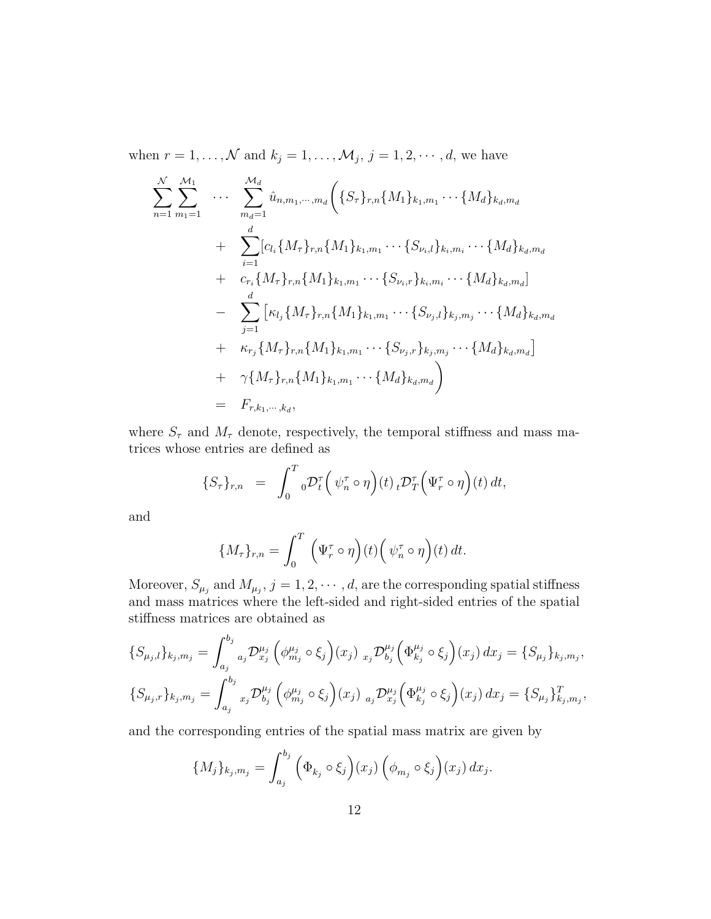when  $r = 1, \ldots, \mathcal{N}$  and  $k_j = 1, \ldots, \mathcal{M}_j, j = 1, 2, \cdots, d$ , we have

$$
\sum_{n=1}^{N} \sum_{m_1=1}^{M_1} \cdots \sum_{m_d=1}^{M_d} \hat{u}_{n,m_1,\cdots,m_d} \Big( \{S_{\tau}\}_{r,n} \{M_1\}_{k_1,m_1} \cdots \{M_d\}_{k_d,m_d}
$$
\n
$$
+ \sum_{i=1}^{d} [c_{l_i} \{M_{\tau}\}_{r,n} \{M_1\}_{k_1,m_1} \cdots \{S_{\nu_i,l}\}_{k_i,m_i} \cdots \{M_d\}_{k_d,m_d}
$$
\n
$$
+ c_{r_i} \{M_{\tau}\}_{r,n} \{M_1\}_{k_1,m_1} \cdots \{S_{\nu_i,r}\}_{k_i,m_i} \cdots \{M_d\}_{k_d,m_d}
$$
\n
$$
- \sum_{j=1}^{d} [\kappa_{l_j} \{M_{\tau}\}_{r,n} \{M_1\}_{k_1,m_1} \cdots \{S_{\nu_j,l}\}_{k_j,m_j} \cdots \{M_d\}_{k_d,m_d}
$$
\n
$$
+ \kappa_{r_j} \{M_{\tau}\}_{r,n} \{M_1\}_{k_1,m_1} \cdots \{S_{\nu_j,r}\}_{k_j,m_j} \cdots \{M_d\}_{k_d,m_d}
$$
\n
$$
+ \gamma \{M_{\tau}\}_{r,n} \{M_1\}_{k_1,m_1} \cdots \{M_d\}_{k_d,m_d}
$$
\n
$$
= F_{r,k_1,\cdots,k_d},
$$

where  $S_{\tau}$  and  $M_{\tau}$  denote, respectively, the temporal stiffness and mass matrices whose entries are defined as

$$
\{S_{\tau}\}_{r,n} = \int_0^T \rho \mathcal{D}_t^{\tau} \Big(\psi_n^{\tau} \circ \eta\Big)(t) \, \, {}_t\mathcal{D}_T^{\tau} \Big(\Psi_r^{\tau} \circ \eta\Big)(t) \, dt,
$$

and

$$
\{M_{\tau}\}_{r,n} = \int_0^T \left(\Psi_r^{\tau} \circ \eta\right)(t) \left(\psi_n^{\tau} \circ \eta\right)(t) dt.
$$

Moreover,  $S_{\mu_j}$  and  $M_{\mu_j}$ ,  $j = 1, 2, \cdots, d$ , are the corresponding spatial stiffness and mass matrices where the left-sided and right-sided entries of the spatial stiffness matrices are obtained as

$$
\{S_{\mu_j,l}\}_{k_j,m_j} = \int_{a_j}^{b_j} a_j \mathcal{D}_{x_j}^{\mu_j} \left(\phi_{m_j}^{\mu_j} \circ \xi_j\right)(x_j) \, x_j \mathcal{D}_{b_j}^{\mu_j} \left(\Phi_{k_j}^{\mu_j} \circ \xi_j\right)(x_j) \, dx_j = \{S_{\mu_j}\}_{k_j,m_j},
$$
  

$$
\{S_{\mu_j,r}\}_{k_j,m_j} = \int_{a_j}^{b_j} x_j \mathcal{D}_{b_j}^{\mu_j} \left(\phi_{m_j}^{\mu_j} \circ \xi_j\right)(x_j) \, a_j \mathcal{D}_{x_j}^{\mu_j} \left(\Phi_{k_j}^{\mu_j} \circ \xi_j\right)(x_j) \, dx_j = \{S_{\mu_j}\}_{k_j,m_j}^T,
$$

and the corresponding entries of the spatial mass matrix are given by

$$
\{M_j\}_{k_j,m_j} = \int_{a_j}^{b_j} \left(\Phi_{k_j} \circ \xi_j\right)(x_j) \left(\phi_{m_j} \circ \xi_j\right)(x_j) dx_j.
$$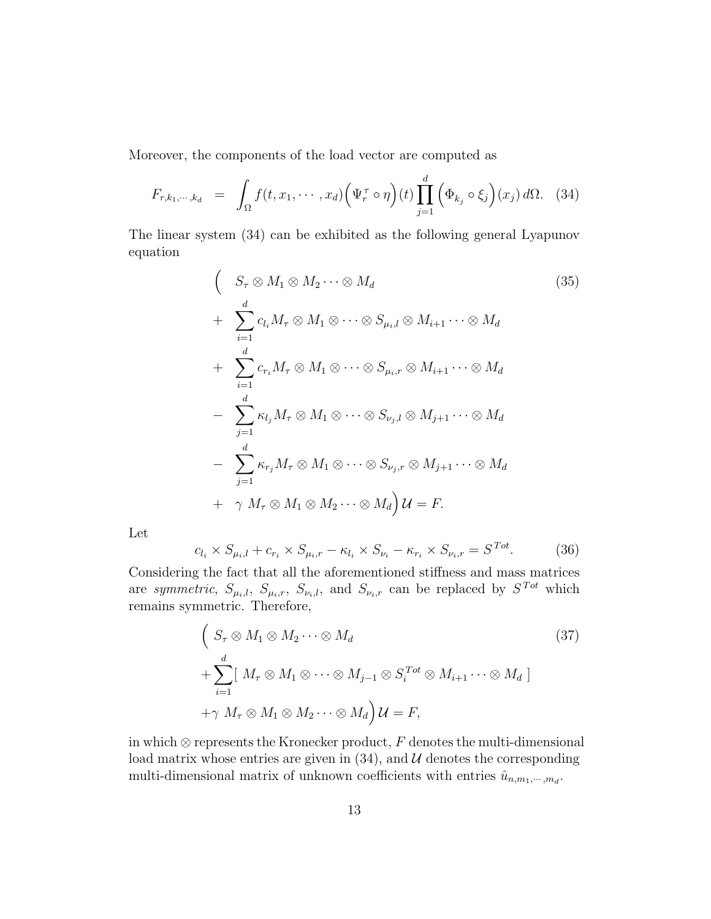Moreover, the components of the load vector are computed as

$$
F_{r,k_1,\dots,k_d} = \int_{\Omega} f(t,x_1,\dots,x_d) \Big( \Psi_r^{\tau} \circ \eta \Big) (t) \prod_{j=1}^d \Big( \Phi_{k_j} \circ \xi_j \Big) (x_j) d\Omega. \tag{34}
$$

The linear system (34) can be exhibited as the following general Lyapunov equation

$$
\begin{aligned}\n&\left(\begin{array}{c}\nS_{\tau} \otimes M_{1} \otimes M_{2} \cdots \otimes M_{d} \\
&+\sum_{i=1}^{d} c_{l_{i}} M_{\tau} \otimes M_{1} \otimes \cdots \otimes S_{\mu_{i},l} \otimes M_{i+1} \cdots \otimes M_{d} \\
&+\sum_{i=1}^{d} c_{r_{i}} M_{\tau} \otimes M_{1} \otimes \cdots \otimes S_{\mu_{i},r} \otimes M_{i+1} \cdots \otimes M_{d} \\
&-\sum_{j=1}^{d} \kappa_{l_{j}} M_{\tau} \otimes M_{1} \otimes \cdots \otimes S_{\nu_{j},l} \otimes M_{j+1} \cdots \otimes M_{d} \\
&-\sum_{j=1}^{d} \kappa_{r_{j}} M_{\tau} \otimes M_{1} \otimes \cdots \otimes S_{\nu_{j},r} \otimes M_{j+1} \cdots \otimes M_{d} \\
&+\gamma M_{\tau} \otimes M_{1} \otimes M_{2} \cdots \otimes M_{d}\right) \mathcal{U} = F.\n\end{aligned}\n\tag{35}
$$

Let

$$
c_{l_i} \times S_{\mu_i, l} + c_{r_i} \times S_{\mu_i, r} - \kappa_{l_i} \times S_{\nu_i} - \kappa_{r_i} \times S_{\nu_i, r} = S^{Tot}.
$$
 (36)

Considering the fact that all the aforementioned stiffness and mass matrices are symmetric,  $S_{\mu_i,l}$ ,  $S_{\mu_i,r}$ ,  $S_{\nu_i,l}$ , and  $S_{\nu_i,r}$  can be replaced by  $S^{Tot}$  which remains symmetric. Therefore,

$$
\left(S_{\tau} \otimes M_1 \otimes M_2 \cdots \otimes M_d \qquad (37)
$$
  
+ 
$$
\sum_{i=1}^d [M_{\tau} \otimes M_1 \otimes \cdots \otimes M_{j-1} \otimes S_i^{Tot} \otimes M_{i+1} \cdots \otimes M_d ]
$$
  
+
$$
\gamma M_{\tau} \otimes M_1 \otimes M_2 \cdots \otimes M_d \right) \mathcal{U} = F,
$$
 (37)

in which  $\otimes$  represents the Kronecker product,  $F$  denotes the multi-dimensional load matrix whose entries are given in  $(34)$ , and  $\mathcal U$  denotes the corresponding multi-dimensional matrix of unknown coefficients with entries  $\hat{u}_{n,m_1,\dots,m_d}$ .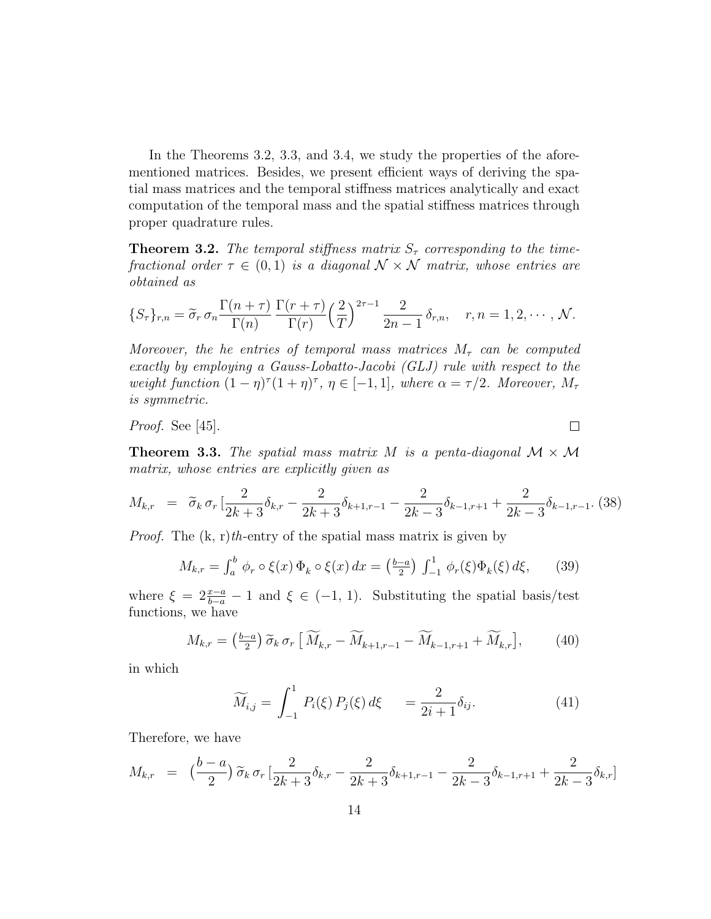In the Theorems 3.2, 3.3, and 3.4, we study the properties of the aforementioned matrices. Besides, we present efficient ways of deriving the spatial mass matrices and the temporal stiffness matrices analytically and exact computation of the temporal mass and the spatial stiffness matrices through proper quadrature rules.

**Theorem 3.2.** The temporal stiffness matrix  $S<sub>\tau</sub>$  corresponding to the timefractional order  $\tau \in (0,1)$  is a diagonal  $\mathcal{N} \times \mathcal{N}$  matrix, whose entries are obtained as

$$
\{S_{\tau}\}_{r,n} = \widetilde{\sigma}_r \sigma_n \frac{\Gamma(n+\tau)}{\Gamma(n)} \frac{\Gamma(r+\tau)}{\Gamma(r)} \left(\frac{2}{T}\right)^{2\tau-1} \frac{2}{2n-1} \delta_{r,n}, \quad r, n = 1, 2, \cdots, \mathcal{N}.
$$

Moreover, the he entries of temporal mass matrices  $M_{\tau}$  can be computed exactly by employing a Gauss-Lobatto-Jacobi (GLJ) rule with respect to the weight function  $(1 - \eta)^{\tau} (1 + \eta)^{\tau}$ ,  $\eta \in [-1, 1]$ , where  $\alpha = \tau/2$ . Moreover,  $M_{\tau}$ is symmetric.

Proof. See [45].

**Theorem 3.3.** The spatial mass matrix M is a penta-diagonal  $M \times M$ matrix, whose entries are explicitly given as

$$
M_{k,r} = \tilde{\sigma}_k \sigma_r \left[ \frac{2}{2k+3} \delta_{k,r} - \frac{2}{2k+3} \delta_{k+1,r-1} - \frac{2}{2k-3} \delta_{k-1,r+1} + \frac{2}{2k-3} \delta_{k-1,r-1} \right] \tag{38}
$$

 $\Box$ 

*Proof.* The  $(k, r)$ th-entry of the spatial mass matrix is given by

$$
M_{k,r} = \int_a^b \phi_r \circ \xi(x) \Phi_k \circ \xi(x) dx = \left(\frac{b-a}{2}\right) \int_{-1}^1 \phi_r(\xi) \Phi_k(\xi) d\xi, \tag{39}
$$

where  $\xi = 2\frac{x-a}{b-a} - 1$  and  $\xi \in (-1, 1)$ . Substituting the spatial basis/test functions, we have

$$
M_{k,r} = \left(\frac{b-a}{2}\right)\widetilde{\sigma}_k \,\sigma_r \left[\widetilde{M}_{k,r} - \widetilde{M}_{k+1,r-1} - \widetilde{M}_{k-1,r+1} + \widetilde{M}_{k,r}\right],\tag{40}
$$

in which

$$
\widetilde{M}_{i,j} = \int_{-1}^{1} P_i(\xi) P_j(\xi) d\xi = \frac{2}{2i+1} \delta_{ij}.
$$
 (41)

Therefore, we have

$$
M_{k,r} = \left(\frac{b-a}{2}\right)\tilde{\sigma}_k \,\sigma_r \left[\frac{2}{2k+3}\delta_{k,r} - \frac{2}{2k+3}\delta_{k+1,r-1} - \frac{2}{2k-3}\delta_{k-1,r+1} + \frac{2}{2k-3}\delta_{k,r}\right]
$$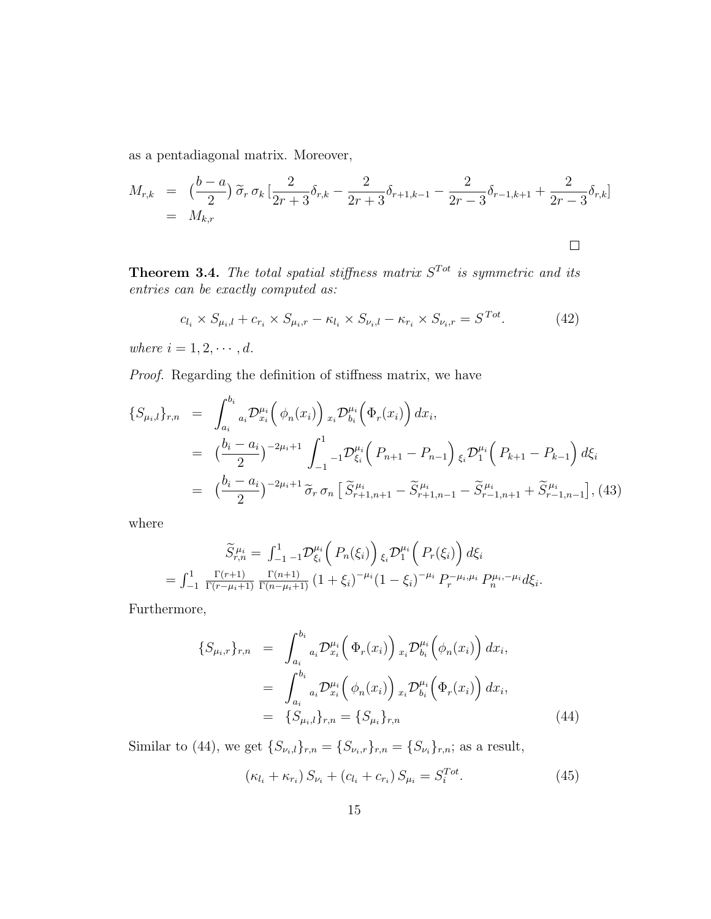as a pentadiagonal matrix. Moreover,

$$
M_{r,k} = \left(\frac{b-a}{2}\right)\tilde{\sigma}_r \,\sigma_k \left[\frac{2}{2r+3}\delta_{r,k} - \frac{2}{2r+3}\delta_{r+1,k-1} - \frac{2}{2r-3}\delta_{r-1,k+1} + \frac{2}{2r-3}\delta_{r,k}\right]
$$
  
=  $M_{k,r}$ 

**Theorem 3.4.** The total spatial stiffness matrix  $S^{Tot}$  is symmetric and its entries can be exactly computed as:

$$
c_{l_i} \times S_{\mu_i, l} + c_{r_i} \times S_{\mu_i, r} - \kappa_{l_i} \times S_{\nu_i, l} - \kappa_{r_i} \times S_{\nu_i, r} = S^{Tot}.
$$
 (42)

where  $i = 1, 2, \cdots, d$ .

Proof. Regarding the definition of stiffness matrix, we have

$$
\{S_{\mu_{i},l}\}_{r,n} = \int_{a_{i}}^{b_{i}} a_{i} \mathcal{D}_{x_{i}}^{\mu_{i}} \Big(\phi_{n}(x_{i})\Big)_{x_{i}} \mathcal{D}_{b_{i}}^{\mu_{i}} \Big(\Phi_{r}(x_{i})\Big) dx_{i},
$$
  
\n
$$
= \Big(\frac{b_{i} - a_{i}}{2}\Big)^{-2\mu_{i}+1} \int_{-1}^{1} -1 \mathcal{D}_{\xi_{i}}^{\mu_{i}} \Big(P_{n+1} - P_{n-1}\Big)_{\xi_{i}} \mathcal{D}_{1}^{\mu_{i}} \Big(P_{k+1} - P_{k-1}\Big) d\xi_{i}
$$
  
\n
$$
= \Big(\frac{b_{i} - a_{i}}{2}\Big)^{-2\mu_{i}+1} \widetilde{\sigma}_{r} \sigma_{n} \Big[\widetilde{S}_{r+1,n+1}^{\mu_{i}} - \widetilde{S}_{r+1,n-1}^{\mu_{i}} - \widetilde{S}_{r-1,n+1}^{\mu_{i}} + \widetilde{S}_{r-1,n-1}^{\mu_{i}}\Big],
$$
(43)

where

$$
\widetilde{S}_{r,n}^{\mu_i} = \int_{-1}^{1} \int_{-\xi_i}^{\mu_i} \left( P_n(\xi_i) \right) \xi_i \mathcal{D}_1^{\mu_i} \left( P_r(\xi_i) \right) d\xi_i
$$
\n
$$
= \int_{-1}^{1} \frac{\Gamma(r+1)}{\Gamma(r-\mu_i+1)} \frac{\Gamma(n+1)}{\Gamma(n-\mu_i+1)} \left( 1 + \xi_i \right)^{-\mu_i} \left( 1 - \xi_i \right)^{-\mu_i} P_r^{-\mu_i, \mu_i} P_n^{\mu_i, -\mu_i} d\xi_i.
$$

Furthermore,

$$
\{S_{\mu_i,r}\}_{r,n} = \int_{a_i}^{b_i} a_i \mathcal{D}_{x_i}^{\mu_i} \left(\Phi_r(x_i)\right) x_i \mathcal{D}_{b_i}^{\mu_i} \left(\phi_n(x_i)\right) dx_i,
$$
  
\n
$$
= \int_{a_i}^{b_i} a_i \mathcal{D}_{x_i}^{\mu_i} \left(\phi_n(x_i)\right) x_i \mathcal{D}_{b_i}^{\mu_i} \left(\Phi_r(x_i)\right) dx_i,
$$
  
\n
$$
= \{S_{\mu_i,l}\}_{r,n} = \{S_{\mu_i}\}_{r,n} \tag{44}
$$

Similar to (44), we get  $\{S_{\nu_i,l}\}_{r,n} = \{S_{\nu_i,r}\}_{r,n} = \{S_{\nu_i}\}_{r,n}$ ; as a result,

$$
(\kappa_{l_i} + \kappa_{r_i}) S_{\nu_i} + (c_{l_i} + c_{r_i}) S_{\mu_i} = S_i^{Tot}.
$$
 (45)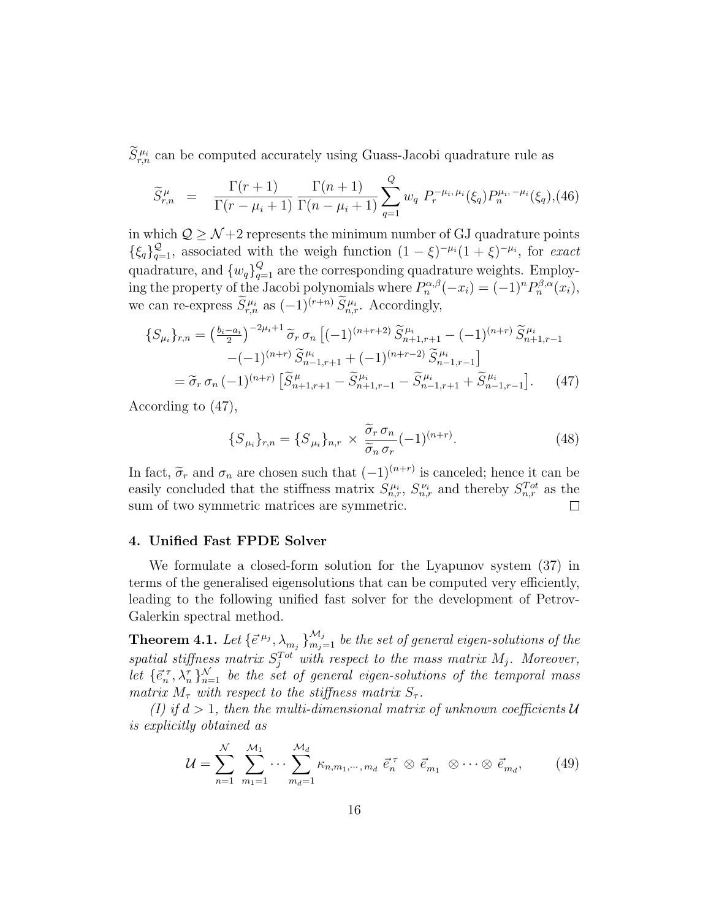$\tilde{S}_{r,n}^{\mu_i}$  can be computed accurately using Guass-Jacobi quadrature rule as

$$
\widetilde{S}_{r,n}^{\mu} = \frac{\Gamma(r+1)}{\Gamma(r-\mu_i+1)} \frac{\Gamma(n+1)}{\Gamma(n-\mu_i+1)} \sum_{q=1}^{Q} w_q P_r^{-\mu_i,\mu_i}(\xi_q) P_n^{\mu_i,-\mu_i}(\xi_q),
$$
(46)

in which  $Q \geq N+2$  represents the minimum number of GJ quadrature points  $\{\xi_q\}_{q=1}^{\mathcal{Q}},$  associated with the weigh function  $(1-\xi)^{-\mu_i}(1+\xi)^{-\mu_i}$ , for exact quadrature, and  $\{w_q\}_{q=1}^Q$  are the corresponding quadrature weights. Employing the property of the Jacobi polynomials where  $P_n^{\alpha,\beta}(-x_i) = (-1)^n P_n^{\beta,\alpha}(x_i)$ , we can re-express  $\widetilde{S}_{r,n}^{\mu_i}$  as  $(-1)^{(r+n)} \widetilde{S}_{n,r}^{\mu_i}$ . Accordingly,

$$
\{S_{\mu_i}\}_{r,n} = \left(\frac{b_i - a_i}{2}\right)^{-2\mu_i + 1} \tilde{\sigma}_r \sigma_n \left[(-1)^{(n+r+2)} \tilde{S}_{n+1,r+1}^{\mu_i} - (-1)^{(n+r)} \tilde{S}_{n+1,r-1}^{\mu_i} - (-1)^{(n+r)} \tilde{S}_{n-1,r+1}^{\mu_i} + (-1)^{(n+r-2)} \tilde{S}_{n-1,r-1}^{\mu_i}\right]
$$

$$
= \tilde{\sigma}_r \sigma_n (-1)^{(n+r)} \left[\tilde{S}_{n+1,r+1}^{\mu} - \tilde{S}_{n+1,r-1}^{\mu_i} - \tilde{S}_{n-1,r+1}^{\mu_i} + \tilde{S}_{n-1,r-1}^{\mu_i}\right]. \tag{47}
$$

According to (47),

$$
\{S_{\mu_i}\}_{r,n} = \{S_{\mu_i}\}_{n,r} \times \frac{\tilde{\sigma}_r \sigma_n}{\tilde{\sigma}_n \sigma_r} (-1)^{(n+r)}.
$$
\n(48)

In fact,  $\tilde{\sigma}_r$  and  $\sigma_n$  are chosen such that  $(-1)^{(n+r)}$  is canceled; hence it can be easily concluded that the stiffness matrix  $S^{\mu_i}$ ,  $S^{\nu_i}$  and thereby  $S^{Tot}$  as the easily concluded that the stiffness matrix  $S_{n,r}^{\mu_i}, S_{n,r}^{\nu_i}$  and thereby  $S_{n,r}^{Tot}$  as the sum of two symmetric matrices are symmetric.  $\Box$ 

## 4. Unified Fast FPDE Solver

We formulate a closed-form solution for the Lyapunov system (37) in terms of the generalised eigensolutions that can be computed very efficiently, leading to the following unified fast solver for the development of Petrov-Galerkin spectral method.

**Theorem 4.1.** Let  $\{\vec{e}^{\mu_j}, \lambda_{m_j}\}_{m_j=1}^{\mathcal{M}_j}$  be the set of general eigen-solutions of the spatial stiffness matrix  $S_j^{Tot}$  with respect to the mass matrix  $M_j$ . Moreover, let  $\{\vec{e}_n^{\tau}, \lambda_n^{\tau}\}_{n=1}^{\mathcal{N}}$  be the set of general eigen-solutions of the temporal mass matrix  $M_{\tau}$  with respect to the stiffness matrix  $S_{\tau}$ .

(I) if  $d > 1$ , then the multi-dimensional matrix of unknown coefficients U is explicitly obtained as

$$
\mathcal{U} = \sum_{n=1}^{\mathcal{N}} \sum_{m_1=1}^{\mathcal{M}_1} \cdots \sum_{m_d=1}^{\mathcal{M}_d} \kappa_{n,m_1,\cdots,m_d} \ \vec{e}_n^{\ \tau} \otimes \vec{e}_{m_1} \otimes \cdots \otimes \vec{e}_{m_d}, \tag{49}
$$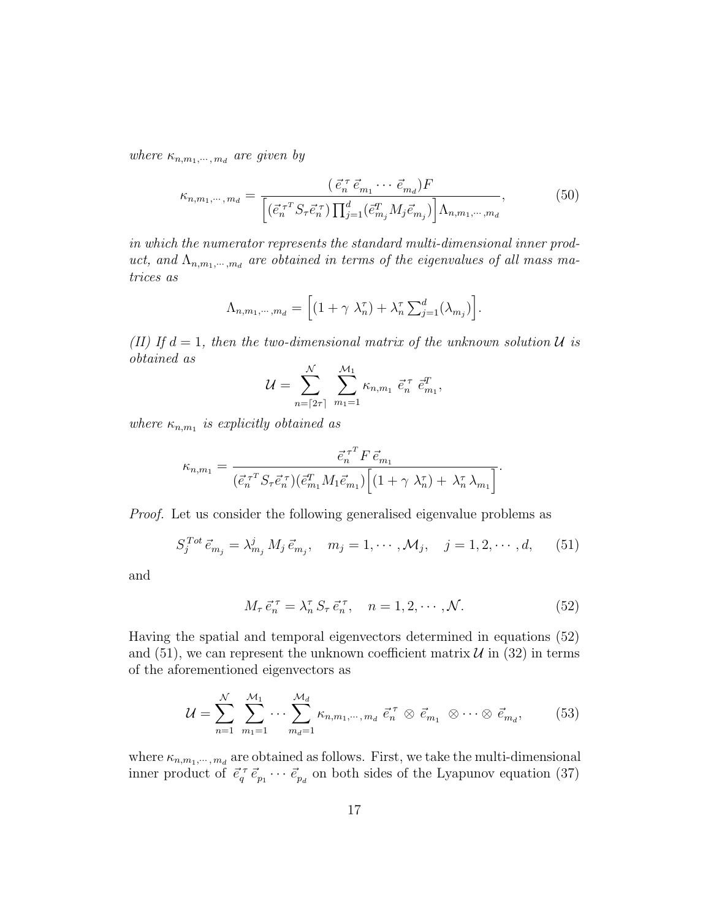where  $\kappa_{n,m_1,\dots,m_d}$  are given by

$$
\kappa_{n,m_1,\dots,m_d} = \frac{(\vec{e}_n^{\tau} \vec{e}_{m_1} \cdots \vec{e}_{m_d}) F}{\left[ (\vec{e}_n^{\tau} S_{\tau} \vec{e}_n^{\tau}) \prod_{j=1}^d (\vec{e}_{m_j}^T M_j \vec{e}_{m_j}) \right] \Lambda_{n,m_1,\dots,m_d}},
$$
(50)

in which the numerator represents the standard multi-dimensional inner product, and  $\Lambda_{n,m_1,\cdots,m_d}$  are obtained in terms of the eigenvalues of all mass matrices as

$$
\Lambda_{n,m_1,\cdots,m_d} = \left[ (1 + \gamma \lambda_n^{\tau}) + \lambda_n^{\tau} \sum_{j=1}^d (\lambda_{m_j}) \right].
$$

(II) If  $d = 1$ , then the two-dimensional matrix of the unknown solution U is obtained as

$$
\mathcal{U} = \sum_{n=[2\tau]}^{\mathcal{N}} \sum_{m_1=1}^{\mathcal{M}_1} \kappa_{n,m_1} \; \vec{e}_n^{\tau} \; \vec{e}_{m_1}^T,
$$

where  $\kappa_{n,m_1}$  is explicitly obtained as

$$
\kappa_{n,m_1} = \frac{\vec{e}_{n}^{\tau^T} F \vec{e}_{m_1}}{(\vec{e}_{n}^{\tau^T} S_{\tau} \vec{e}_{n}^{\tau})(\vec{e}_{m_1}^T M_1 \vec{e}_{m_1}) \Big[ (1 + \gamma \lambda_n^{\tau}) + \lambda_n^{\tau} \lambda_{m_1} \Big]}.
$$

Proof. Let us consider the following generalised eigenvalue problems as

$$
S_j^{Tot} \vec{e}_{m_j} = \lambda_{m_j}^j M_j \vec{e}_{m_j}, \quad m_j = 1, \cdots, \mathcal{M}_j, \quad j = 1, 2, \cdots, d,
$$
 (51)

and

$$
M_{\tau} \vec{e}_n^{\tau} = \lambda_n^{\tau} S_{\tau} \vec{e}_n^{\tau}, \quad n = 1, 2, \cdots, \mathcal{N}.
$$
 (52)

Having the spatial and temporal eigenvectors determined in equations (52) and (51), we can represent the unknown coefficient matrix  $\mathcal{U}$  in (32) in terms of the aforementioned eigenvectors as

$$
\mathcal{U} = \sum_{n=1}^{\mathcal{N}} \sum_{m_1=1}^{\mathcal{M}_1} \cdots \sum_{m_d=1}^{\mathcal{M}_d} \kappa_{n,m_1,\cdots,m_d} \ \vec{e}_n^{\,\tau} \otimes \vec{e}_{m_1} \otimes \cdots \otimes \vec{e}_{m_d}, \tag{53}
$$

where  $\kappa_{n,m_1,\dots,m_d}$  are obtained as follows. First, we take the multi-dimensional inner product of  $\vec{e}_q^{\,\tau} \vec{e}_{p_1} \cdots \vec{e}_{p_d}$  on both sides of the Lyapunov equation (37)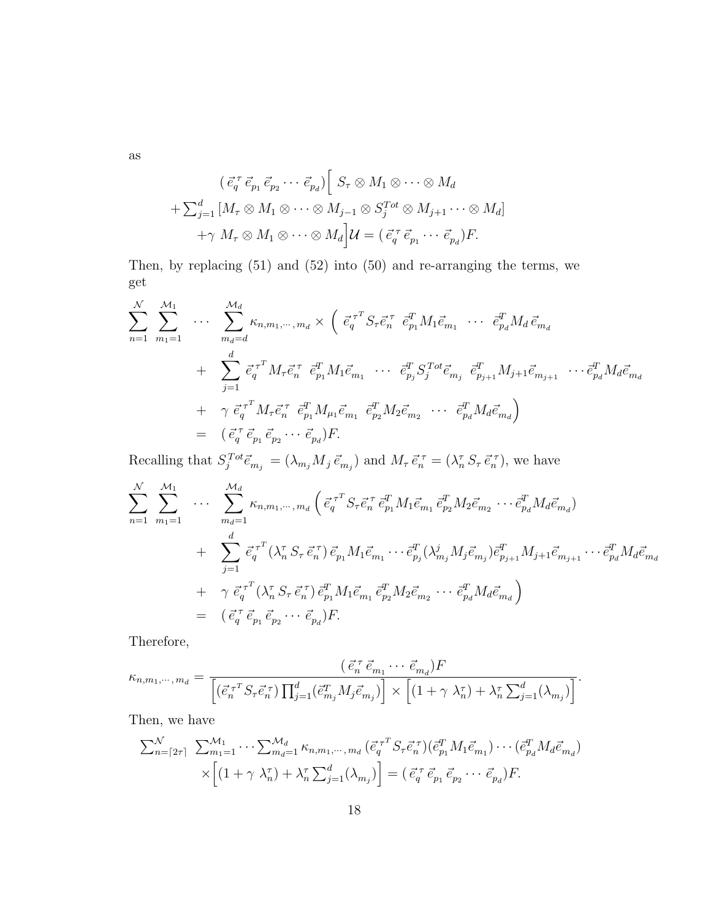as

$$
(\vec{e}_q^{\tau} \vec{e}_{p_1} \vec{e}_{p_2} \cdots \vec{e}_{p_d}) \left[ S_{\tau} \otimes M_1 \otimes \cdots \otimes M_d \right]
$$
  
+  $\sum_{j=1}^d [M_{\tau} \otimes M_1 \otimes \cdots \otimes M_{j-1} \otimes S_j^{Tot} \otimes M_{j+1} \cdots \otimes M_d]$   
+ $\gamma M_{\tau} \otimes M_1 \otimes \cdots \otimes M_d \left] U = (\vec{e}_q^{\tau} \vec{e}_{p_1} \cdots \vec{e}_{p_d}) F.$ 

Then, by replacing (51) and (52) into (50) and re-arranging the terms, we get

$$
\sum_{n=1}^{N} \sum_{m_1=1}^{M_1} \cdots \sum_{m_d=d}^{M_d} \kappa_{n,m_1,\cdots,m_d} \times \left( \vec{e}_q^{\tau^T} S_{\tau} \vec{e}_n^{\tau} \vec{e}_{p_1}^T M_1 \vec{e}_{m_1} \cdots \vec{e}_{p_d}^T M_d \vec{e}_{m_d} \right. \\
\left. + \sum_{j=1}^{d} \vec{e}_q^{\tau^T} M_{\tau} \vec{e}_n^{\tau} \vec{e}_{p_1}^T M_1 \vec{e}_{m_1} \cdots \vec{e}_{p_j}^T S_j^{Tot} \vec{e}_{m_j} \vec{e}_{p_{j+1}}^T M_{j+1} \vec{e}_{m_{j+1}} \cdots \vec{e}_{p_d}^T M_d \vec{e}_{m_d} \right) \\
= \left( \vec{e}_q^{\tau} \vec{e}_{p_1} \vec{e}_{p_2} \cdots \vec{e}_{p_d} \right) F.
$$

Recalling that  $S_j^{Tot} \vec{e}_{m_j} = (\lambda_{m_j} M_j \vec{e}_{m_j})$  and  $M_{\tau} \vec{e}_{n}^{\tau} = (\lambda_{n}^{\tau} S_{\tau} \vec{e}_{n}^{\tau})$ , we have

$$
\sum_{n=1}^{N} \sum_{m_1=1}^{M_1} \cdots \sum_{m_d=1}^{M_d} \kappa_{n,m_1,\cdots,m_d} \left( \vec{e}_q^{\tau^T} S_{\tau} \vec{e}_n^{\tau} \vec{e}_{p_1}^T M_1 \vec{e}_{m_1} \vec{e}_{p_2}^T M_2 \vec{e}_{m_2} \cdots \vec{e}_{p_d}^T M_d \vec{e}_{m_d} \right) \n+ \sum_{j=1}^{d} \vec{e}_q^{\tau^T} (\lambda_n^{\tau} S_{\tau} \vec{e}_n^{\tau}) \vec{e}_{p_1} M_1 \vec{e}_{m_1} \cdots \vec{e}_{p_j}^T (\lambda_{m_j}^j M_j \vec{e}_{m_j}) \vec{e}_{p_{j+1}}^T M_{j+1} \vec{e}_{m_{j+1}} \cdots \vec{e}_{p_d}^T M_d \vec{e}_{m_d} \n+ \gamma \vec{e}_q^{\tau^T} (\lambda_n^{\tau} S_{\tau} \vec{e}_n^{\tau}) \vec{e}_{p_1}^T M_1 \vec{e}_{m_1} \vec{e}_{p_2}^T M_2 \vec{e}_{m_2} \cdots \vec{e}_{p_d}^T M_d \vec{e}_{m_d} \right) \n= (\vec{e}_q^{\tau} \vec{e}_{p_1} \vec{e}_{p_2} \cdots \vec{e}_{p_d}) F.
$$

Therefore,

$$
\kappa_{n,m_1,\cdots,m_d} = \frac{(\vec{e}_n^{\tau} \vec{e}_{m_1} \cdots \vec{e}_{m_d}) F}{\left[ (\vec{e}_n^{\tau T} S_{\tau} \vec{e}_n^{\tau}) \prod_{j=1}^d (\vec{e}_{m_j}^T M_j \vec{e}_{m_j}) \right] \times \left[ (1 + \gamma \lambda_n^{\tau}) + \lambda_n^{\tau} \sum_{j=1}^d (\lambda_{m_j}) \right]}.
$$

Then, we have

$$
\sum_{n=\lceil 2\tau \rceil}^{N} \sum_{m_1=1}^{M_1} \cdots \sum_{m_d=1}^{M_d} \kappa_{n,m_1,\cdots,m_d} \left( \vec{e}_q^{\tau^T} S_{\tau} \vec{e}_n^{\tau} \right) \left( \vec{e}_{p_1}^T M_1 \vec{e}_{m_1} \right) \cdots \left( \vec{e}_{p_d}^T M_d \vec{e}_{m_d} \right) \times \left[ (1 + \gamma \lambda_n^{\tau}) + \lambda_n^{\tau} \sum_{j=1}^d (\lambda_{m_j}) \right] = \left( \vec{e}_q^{\tau} \vec{e}_{p_1} \vec{e}_{p_2} \cdots \vec{e}_{p_d} \right) F.
$$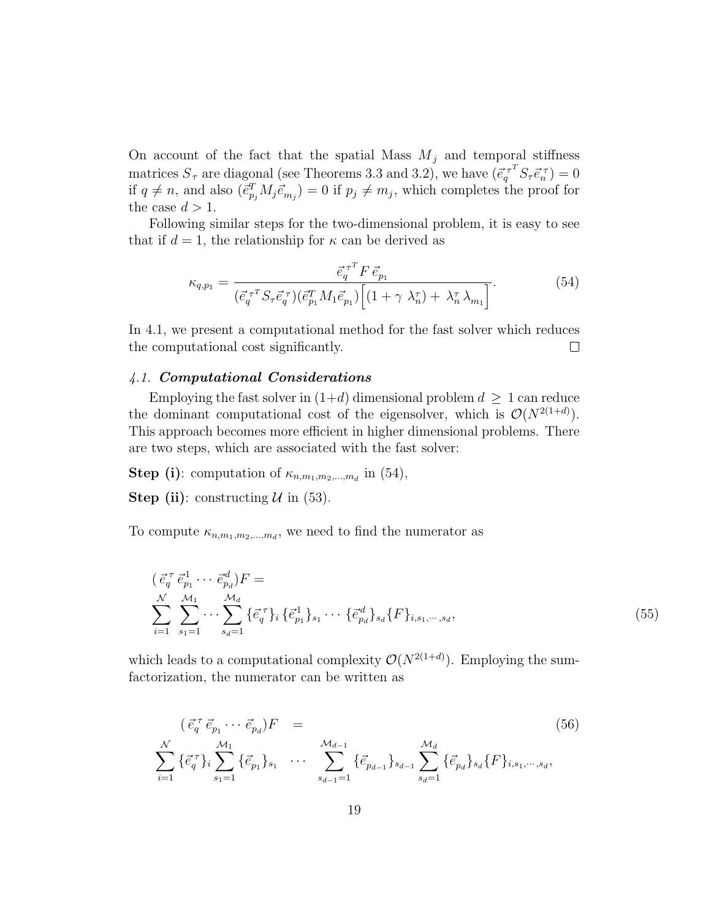On account of the fact that the spatial Mass  $M_j$  and temporal stiffness matrices  $S_{\tau}$  are diagonal (see Theorems 3.3 and 3.2), we have  $(\vec{e}_q^{\tau T} S_{\tau} \vec{e}_n^{\tau}) = 0$ if  $q \neq n$ , and also  $(\bar{e}_{p_j}^T M_j \bar{e}_{m_j}) = 0$  if  $p_j \neq m_j$ , which completes the proof for the case  $d > 1$ .

Following similar steps for the two-dimensional problem, it is easy to see that if  $d = 1$ , the relationship for  $\kappa$  can be derived as

$$
\kappa_{q,p_1} = \frac{\vec{e}_q^{\tau^T} F \vec{e}_{p_1}}{(\vec{e}_q^{\tau^T} S_\tau \vec{e}_q^{\tau})(\vec{e}_{p_1}^T M_1 \vec{e}_{p_1}) \left[ (1 + \gamma \lambda_n^{\tau}) + \lambda_n^{\tau} \lambda_{m_1} \right]}.
$$
(54)

In 4.1, we present a computational method for the fast solver which reduces the computational cost significantly.  $\Box$ 

## 4.1. Computational Considerations

Employing the fast solver in  $(1+d)$  dimensional problem  $d \geq 1$  can reduce the dominant computational cost of the eigensolver, which is  $\mathcal{O}(N^{2(1+d)})$ . This approach becomes more efficient in higher dimensional problems. There are two steps, which are associated with the fast solver:

**Step (i)**: computation of  $\kappa_{n,m_1,m_2,...,m_d}$  in (54),

**Step (ii):** constructing  $\mathcal{U}$  in (53).

To compute  $\kappa_{n,m_1,m_2,...,m_d}$ , we need to find the numerator as

$$
\begin{aligned}\n(\vec{e}_q^{\,\tau}\,\vec{e}_{p_1}^1 \cdots \vec{e}_{p_d}^d)F &= \\
\sum_{i=1}^{\mathcal{N}} \sum_{s_1=1}^{M_1} \cdots \sum_{s_d=1}^{M_d} \{\vec{e}_q^{\,\tau}\}_i \{\vec{e}_{p_1}^1\}_{s_1} \cdots \{\vec{e}_{p_d}^d\}_{s_d} \{F\}_{i,s_1,\cdots,s_d},\n\end{aligned} \tag{55}
$$

which leads to a computational complexity  $\mathcal{O}(N^{2(1+d)})$ . Employing the sumfactorization, the numerator can be written as

$$
(\vec{e}_q^{\tau} \vec{e}_{p_1} \cdots \vec{e}_{p_d})F =
$$
\n
$$
\sum_{i=1}^{N} {\{\vec{e}_q^{\tau}\}_i \sum_{s_1=1}^{M_1} {\{\vec{e}_{p_1}\}_s}_1 \cdots \sum_{s_{d-1}=1}^{M_{d-1}} {\{\vec{e}_{p_{d-1}}\}_s}_{d-1}} \sum_{s_d=1}^{M_d} {\{\vec{e}_{p_d}\}_s} \{F\}_{i,s_1,\cdots,s_d},
$$
\n(56)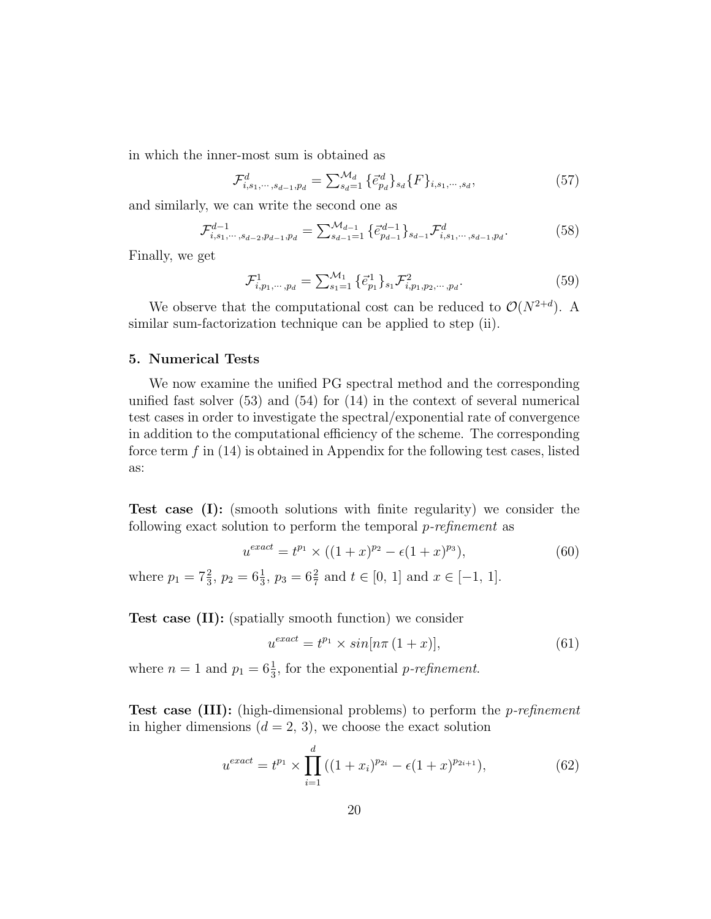in which the inner-most sum is obtained as

$$
\mathcal{F}_{i,s_1,\dots,s_{d-1},p_d}^d = \sum_{s_d=1}^{\mathcal{M}_d} \{ \vec{e}_{p_d}^d \}_{s_d} \{ F \}_{i,s_1,\dots,s_d},\tag{57}
$$

and similarly, we can write the second one as

$$
\mathcal{F}_{i,s_1,\dots,s_{d-2},p_{d-1},p_d}^{d-1} = \sum_{s_{d-1}=1}^{M_{d-1}} \{ \vec{e}_{p_{d-1}}^{d-1} \}_{s_{d-1}} \mathcal{F}_{i,s_1,\dots,s_{d-1},p_d}^d.
$$
(58)

Finally, we get

$$
\mathcal{F}^1_{i,p_1,\cdots,p_d} = \sum_{s_1=1}^{\mathcal{M}_1} \{ \vec{e}_{p_1}^1 \}_{s_1} \mathcal{F}^2_{i,p_1,p_2,\cdots,p_d}.
$$
 (59)

We observe that the computational cost can be reduced to  $\mathcal{O}(N^{2+d})$ . A similar sum-factorization technique can be applied to step (ii).

## 5. Numerical Tests

We now examine the unified PG spectral method and the corresponding unified fast solver (53) and (54) for (14) in the context of several numerical test cases in order to investigate the spectral/exponential rate of convergence in addition to the computational efficiency of the scheme. The corresponding force term  $f$  in (14) is obtained in Appendix for the following test cases, listed as:

Test case (I): (smooth solutions with finite regularity) we consider the following exact solution to perform the temporal p-refinement as

$$
u^{exact} = t^{p_1} \times ((1+x)^{p_2} - \epsilon (1+x)^{p_3}), \tag{60}
$$

where  $p_1 = 7\frac{2}{3}$ ,  $p_2 = 6\frac{1}{3}$ ,  $p_3 = 6\frac{2}{7}$  and  $t \in [0, 1]$  and  $x \in [-1, 1]$ .

Test case (II): (spatially smooth function) we consider

$$
u^{exact} = t^{p_1} \times \sin[n\pi (1+x)], \tag{61}
$$

where  $n = 1$  and  $p_1 = 6\frac{1}{3}$ , for the exponential *p-refinement*.

Test case (III): (high-dimensional problems) to perform the p-refinement in higher dimensions  $(d = 2, 3)$ , we choose the exact solution

$$
u^{exact} = t^{p_1} \times \prod_{i=1}^{d} ((1+x_i)^{p_{2i}} - \epsilon (1+x)^{p_{2i+1}}), \tag{62}
$$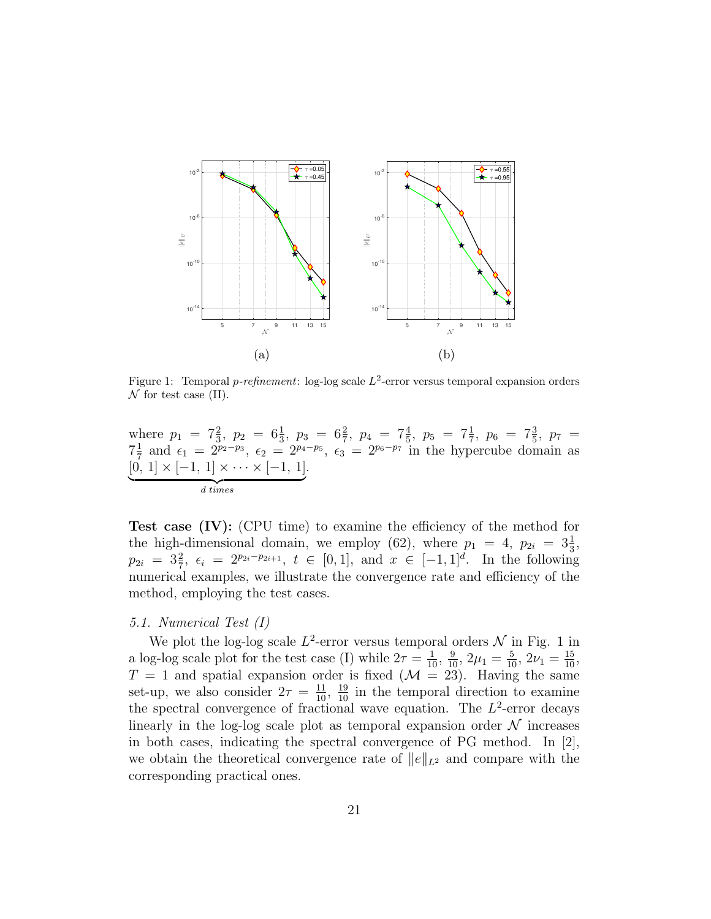

Figure 1: Temporal *p-refinement*: log-log scale  $L^2$ -error versus temporal expansion orders  $\mathcal N$  for test case (II).

where  $p_1 = 7\frac{2}{3}$ ,  $p_2 = 6\frac{1}{3}$ ,  $p_3 = 6\frac{2}{7}$ ,  $p_4 = 7\frac{4}{5}$ ,  $p_5 = 7\frac{1}{7}$ ,  $p_6 = 7\frac{3}{5}$ ,  $p_7 =$  $7\frac{1}{7}$  $\frac{1}{7}$  and  $\epsilon_1 = 2^{p_2-p_3}$ ,  $\epsilon_2 = 2^{p_4-p_5}$ ,  $\epsilon_3 = 2^{p_6-p_7}$  in the hypercube domain as  $[0, 1] \times [-1, 1] \times \cdots \times [-1, 1]$  $d \ times$ .

Test case (IV): (CPU time) to examine the efficiency of the method for the high-dimensional domain, we employ (62), where  $p_1 = 4$ ,  $p_{2i} = 3\frac{1}{3}$ ,  $p_{2i} = 3\frac{2}{7}, \epsilon_i = 2^{p_{2i}-p_{2i+1}}, t \in [0,1], \text{ and } x \in [-1,1]^d.$  In the following numerical examples, we illustrate the convergence rate and efficiency of the method, employing the test cases.

#### 5.1. Numerical Test (I)

We plot the log-log scale  $L^2$ -error versus temporal orders  $\mathcal N$  in Fig. 1 in a log-log scale plot for the test case (I) while  $2\tau = \frac{1}{10}$ ,  $\frac{9}{10}$ ,  $2\mu_1 = \frac{5}{10}$ ,  $2\nu_1 = \frac{15}{10}$ ,  $T = 1$  and spatial expansion order is fixed  $(\mathcal{M} = 23)$ . Having the same set-up, we also consider  $2\tau = \frac{11}{10}$ ,  $\frac{19}{10}$  in the temporal direction to examine the spectral convergence of fractional wave equation. The  $L^2$ -error decays linearly in the log-log scale plot as temporal expansion order  $\mathcal N$  increases in both cases, indicating the spectral convergence of PG method. In  $[2]$ , we obtain the theoretical convergence rate of  $||e||_{L^2}$  and compare with the corresponding practical ones.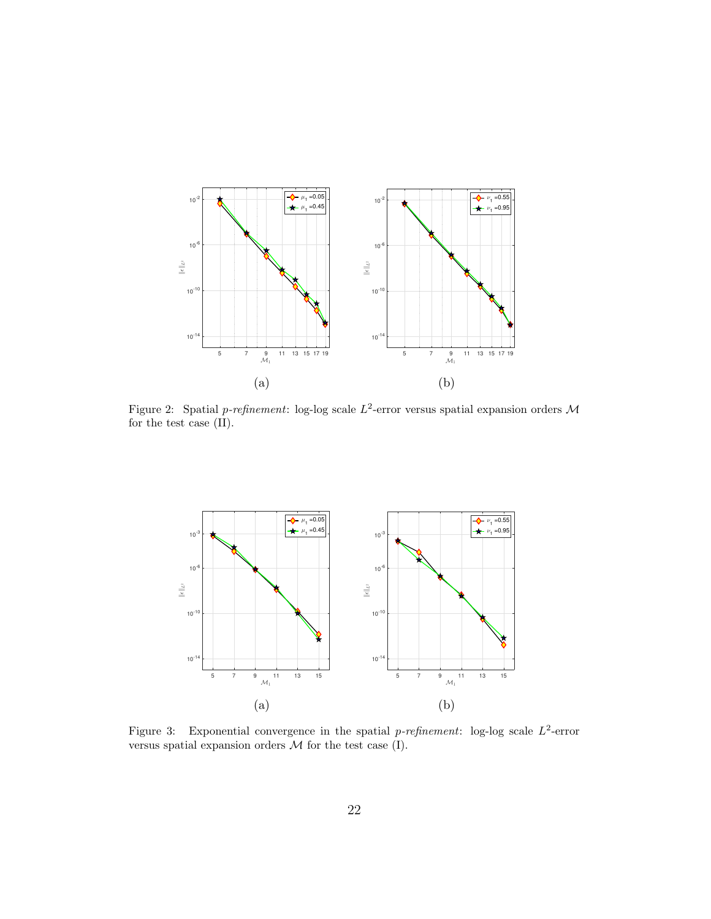

Figure 2: Spatial p-refinement: log-log scale  $L^2$ -error versus spatial expansion orders M for the test case (II).



Figure 3: Exponential convergence in the spatial *p-refinement*: log-log scale  $L^2$ -error versus spatial expansion orders  $M$  for the test case  $(I)$ .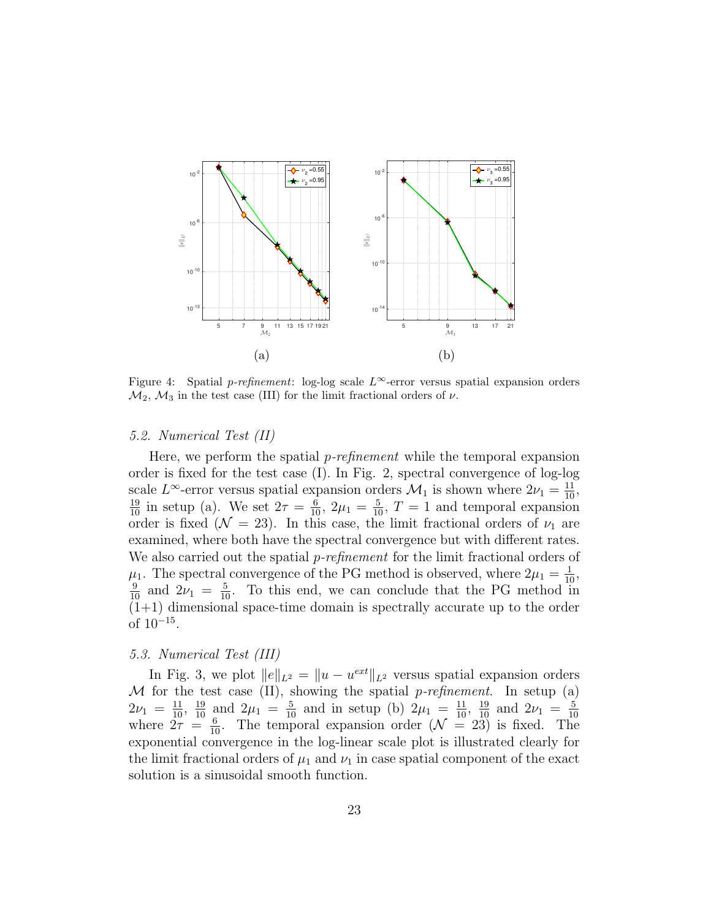

Figure 4: Spatial p-refinement: log-log scale  $L^{\infty}$ -error versus spatial expansion orders  $\mathcal{M}_2$ ,  $\mathcal{M}_3$  in the test case (III) for the limit fractional orders of  $\nu$ .

# 5.2. Numerical Test (II)

Here, we perform the spatial *p-refinement* while the temporal expansion order is fixed for the test case (I). In Fig. 2, spectral convergence of log-log scale  $L^{\infty}$ -error versus spatial expansion orders  $\mathcal{M}_1$  is shown where  $2\nu_1 = \frac{11}{10}$ ,  $\frac{19}{10}$  in setup (a). We set  $2\tau = \frac{6}{10}$ ,  $2\mu_1 = \frac{5}{10}$ ,  $T = 1$  and temporal expansion order is fixed ( $\mathcal{N} = 23$ ). In this case, the limit fractional orders of  $\nu_1$  are examined, where both have the spectral convergence but with different rates. We also carried out the spatial *p-refinement* for the limit fractional orders of  $\mu_1$ . The spectral convergence of the PG method is observed, where  $2\mu_1 = \frac{1}{10}$ ,  $\frac{9}{10}$  and  $2\nu_1 = \frac{5}{10}$ . To this end, we can conclude that the PG method in  $(1+1)$  dimensional space-time domain is spectrally accurate up to the order of  $10^{-15}$ .

# 5.3. Numerical Test (III)

In Fig. 3, we plot  $||e||_{L^2} = ||u - u^{ext}||_{L^2}$  versus spatial expansion orders M for the test case (II), showing the spatial p-refinement. In setup (a)  $2\nu_1 = \frac{11}{10}$ ,  $\frac{19}{10}$  and  $2\mu_1 = \frac{5}{10}$  and in setup (b)  $2\mu_1 = \frac{11}{10}$ ,  $\frac{19}{10}$  and  $2\nu_1 = \frac{5}{10}$ where  $2\tau = \frac{6}{10}$ . The temporal expansion order  $(\mathcal{N} = 23)$  is fixed. The exponential convergence in the log-linear scale plot is illustrated clearly for the limit fractional orders of  $\mu_1$  and  $\nu_1$  in case spatial component of the exact solution is a sinusoidal smooth function.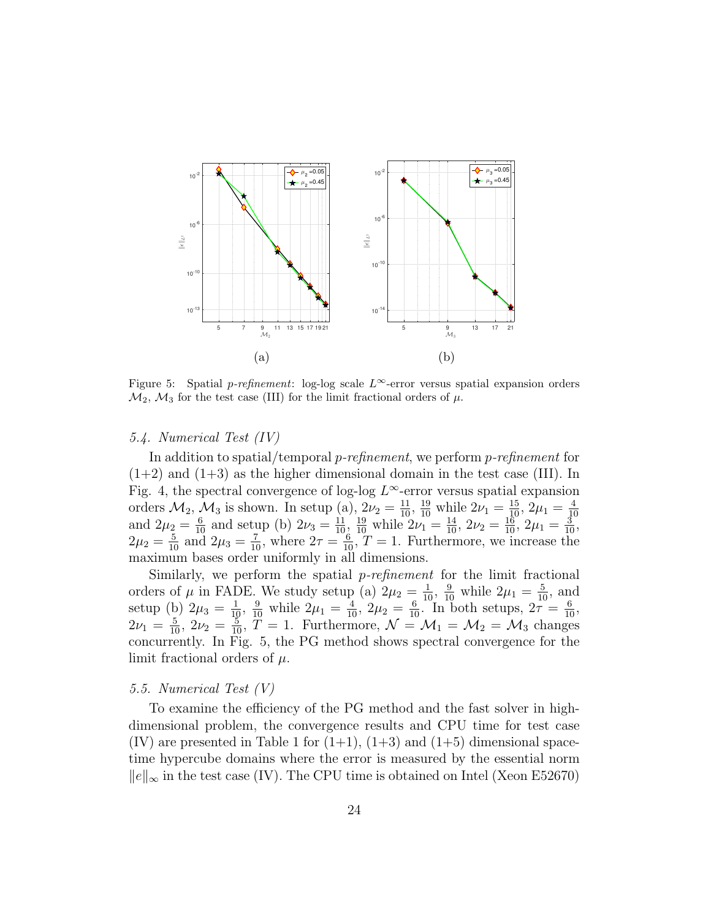

Figure 5: Spatial p-refinement: log-log scale  $L^{\infty}$ -error versus spatial expansion orders  $\mathcal{M}_2$ ,  $\mathcal{M}_3$  for the test case (III) for the limit fractional orders of  $\mu$ .

# 5.4. Numerical Test (IV)

In addition to spatial/temporal *p-refinement*, we perform *p-refinement* for  $(1+2)$  and  $(1+3)$  as the higher dimensional domain in the test case (III). In Fig. 4, the spectral convergence of log-log  $L^{\infty}$ -error versus spatial expansion orders  $\mathcal{M}_2$ ,  $\mathcal{M}_3$  is shown. In setup (a),  $2\nu_2 = \frac{11}{10}$ ,  $\frac{19}{10}$  while  $2\nu_1 = \frac{15}{10}$ ,  $2\mu_1 = \frac{4}{10}$ and  $2\mu_2 = \frac{6}{10}$  and setup (b)  $2\nu_3 = \frac{11}{10}$ ,  $\frac{19}{10}$  while  $2\nu_1 = \frac{14}{10}$ ,  $2\nu_2 = \frac{16}{10}$ ,  $2\mu_1 = \frac{3}{10}$ ,  $2\mu_2 = \frac{5}{10}$  and  $2\mu_3 = \frac{7}{10}$ , where  $2\tau = \frac{6}{10}$ ,  $T = 1$ . Furthermore, we increase the maximum bases order uniformly in all dimensions.

Similarly, we perform the spatial *p-refinement* for the limit fractional orders of  $\mu$  in FADE. We study setup (a)  $2\mu_2 = \frac{1}{10}$ ,  $\frac{9}{10}$  while  $2\mu_1 = \frac{5}{10}$ , and setup (b)  $2\mu_3 = \frac{1}{10}$ ,  $\frac{9}{10}$  while  $2\mu_1 = \frac{4}{10}$ ,  $2\mu_2 = \frac{6}{10}$ . In both setups,  $2\tau = \frac{6}{10}$ ,  $2\nu_1 = \frac{5}{10}$ ,  $2\nu_2 = \frac{3}{10}$ ,  $\widetilde{T} = 1$ . Furthermore,  $\mathcal{N} = \mathcal{M}_1 = \mathcal{M}_2 = \mathcal{M}_3$  changes concurrently. In Fig. 5, the PG method shows spectral convergence for the limit fractional orders of  $\mu$ .

#### 5.5. Numerical Test (V)

To examine the efficiency of the PG method and the fast solver in highdimensional problem, the convergence results and CPU time for test case  $(IV)$  are presented in Table 1 for  $(1+1)$ ,  $(1+3)$  and  $(1+5)$  dimensional spacetime hypercube domains where the error is measured by the essential norm  $||e||_{\infty}$  in the test case (IV). The CPU time is obtained on Intel (Xeon E52670)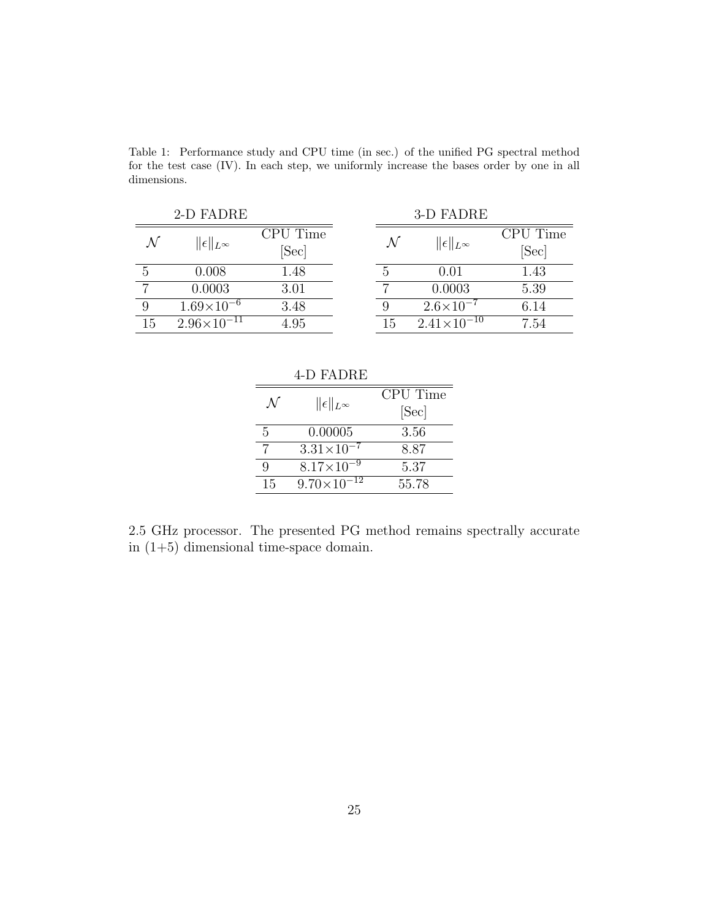Table 1: Performance study and CPU time (in sec.) of the unified PG spectral method for the test case (IV). In each step, we uniformly increase the bases order by one in all dimensions.

|    | 2-D FADRE                 |                              |    | 3-D FADRE                 |                   |
|----|---------------------------|------------------------------|----|---------------------------|-------------------|
|    | $\ \epsilon\ _{L^\infty}$ | CPU Time<br>$[\mathrm{Sec}]$ | N  | $\ \epsilon\ _{L^\infty}$ | CPU Time<br>[Sec] |
| 5  | 0.008                     | 1.48                         |    | 0.01                      | 1.43              |
|    | 0.0003                    | 3.01                         |    | 0.0003                    | 5.39              |
| 9  | $1.69\times10^{-6}$       | 3.48                         |    | $2.6\times10^{-7}$        | 6.14              |
| 15 | $2.96\times10^{-11}$      | 4.95                         | 15 | $2.41\times10^{-10}$      | 7.54              |

4-D FADRE

| N. | $\ \epsilon\ _{L^\infty}$        | <b>CPU</b> Time<br>[Sec] |
|----|----------------------------------|--------------------------|
| 5  | 0.00005                          | 3.56                     |
| 7  | $3.31\times10^{-7}$              | 8.87                     |
| Q  | $\overline{8.17\times10^{-9}}$   | 5.37                     |
| 15 | $\frac{1}{9.70 \times 10^{-12}}$ | 55.78                    |

2.5 GHz processor. The presented PG method remains spectrally accurate in (1+5) dimensional time-space domain.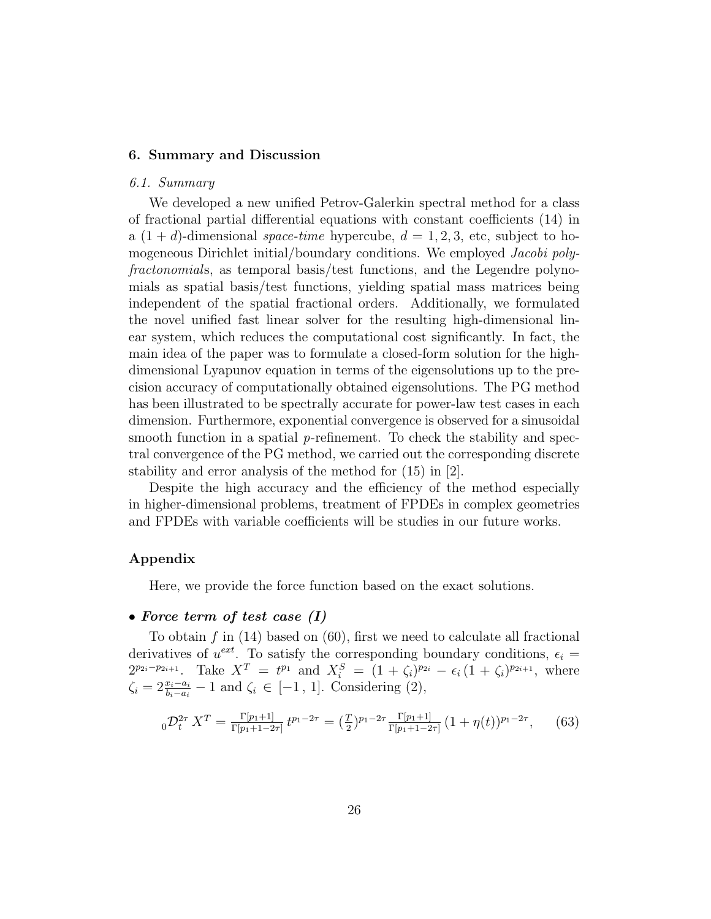#### 6. Summary and Discussion

### 6.1. Summary

We developed a new unified Petrov-Galerkin spectral method for a class of fractional partial differential equations with constant coefficients (14) in a  $(1+d)$ -dimensional *space-time* hypercube,  $d = 1, 2, 3$ , etc, subject to homogeneous Dirichlet initial/boundary conditions. We employed Jacobi polyfractonomials, as temporal basis/test functions, and the Legendre polynomials as spatial basis/test functions, yielding spatial mass matrices being independent of the spatial fractional orders. Additionally, we formulated the novel unified fast linear solver for the resulting high-dimensional linear system, which reduces the computational cost significantly. In fact, the main idea of the paper was to formulate a closed-form solution for the highdimensional Lyapunov equation in terms of the eigensolutions up to the precision accuracy of computationally obtained eigensolutions. The PG method has been illustrated to be spectrally accurate for power-law test cases in each dimension. Furthermore, exponential convergence is observed for a sinusoidal smooth function in a spatial p-refinement. To check the stability and spectral convergence of the PG method, we carried out the corresponding discrete stability and error analysis of the method for (15) in [2].

Despite the high accuracy and the efficiency of the method especially in higher-dimensional problems, treatment of FPDEs in complex geometries and FPDEs with variable coefficients will be studies in our future works.

# Appendix

Here, we provide the force function based on the exact solutions.

#### • Force term of test case (I)

To obtain  $f$  in (14) based on (60), first we need to calculate all fractional derivatives of  $u^{ext}$ . To satisfy the corresponding boundary conditions,  $\epsilon_i =$  $2^{p_{2i}-p_{2i+1}}$ . Take  $X^T = t^{p_1}$  and  $X_i^S = (1+\zeta_i)^{p_{2i}} - \epsilon_i (1+\zeta_i)^{p_{2i+1}}$ , where  $\zeta_i = 2\frac{x_i - a_i}{b_i - a_i} - 1$  and  $\zeta_i \in [-1, 1]$ . Considering (2),

$$
{}_{0}\mathcal{D}^{2\tau}_{t}X^{T} = \frac{\Gamma[p_{1}+1]}{\Gamma[p_{1}+1-2\tau]} t^{p_{1}-2\tau} = (\frac{T}{2})^{p_{1}-2\tau} \frac{\Gamma[p_{1}+1]}{\Gamma[p_{1}+1-2\tau]} (1+\eta(t))^{p_{1}-2\tau}, \qquad (63)
$$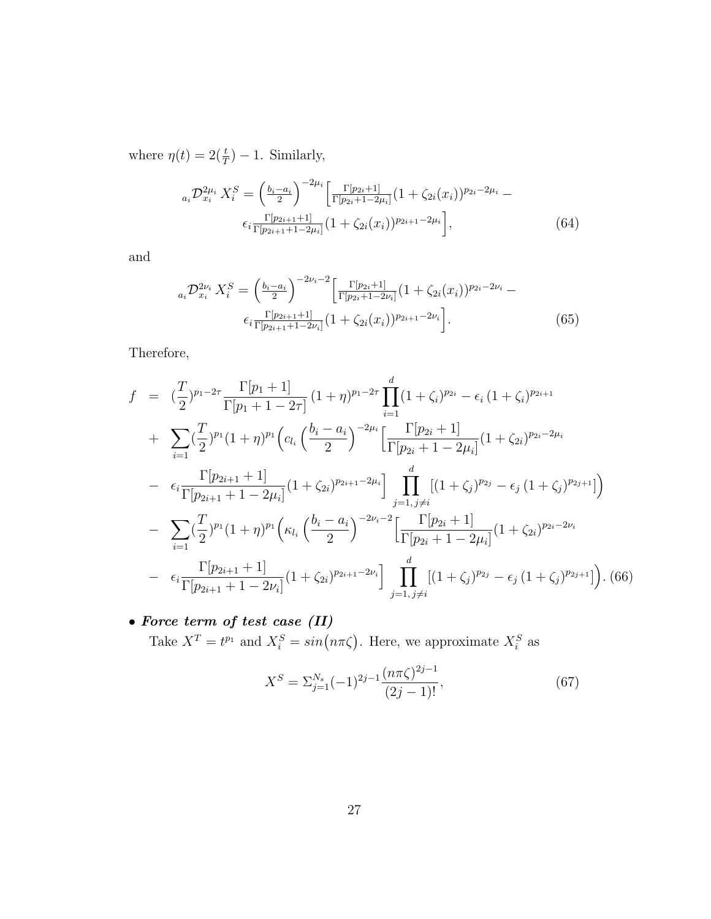where  $\eta(t) = 2(\frac{t}{T}) - 1$ . Similarly,

$$
{}_{a_i} \mathcal{D}_{x_i}^{2\mu_i} X_i^S = \left(\frac{b_i - a_i}{2}\right)^{-2\mu_i} \left[\frac{\Gamma[p_{2i} + 1]}{\Gamma[p_{2i} + 1 - 2\mu_i]} (1 + \zeta_{2i}(x_i))^{p_{2i} - 2\mu_i} - \frac{\zeta_{2i} \Gamma[p_{2i+1} + 1]}{\zeta_{2i+1} + 1 - 2\mu_i} (1 + \zeta_{2i}(x_i))^{p_{2i+1} - 2\mu_i}\right],
$$
\n(64)

and

$$
{}_{a_i} \mathcal{D}_{x_i}^{2\nu_i} X_i^S = \left(\frac{b_i - a_i}{2}\right)^{-2\nu_i - 2} \left[\frac{\Gamma[p_{2i} + 1]}{\Gamma[p_{2i} + 1 - 2\nu_i]} (1 + \zeta_{2i}(x_i))^{p_{2i} - 2\nu_i} - \frac{\zeta_{2i} \Gamma[p_{2i} + 1 + 1]}{\zeta_{2i} \Gamma[p_{2i+1} + 1 - 2\nu_i]} (1 + \zeta_{2i}(x_i))^{p_{2i+1} - 2\nu_i}\right].
$$
\n(65)

Therefore,

$$
f = \left(\frac{T}{2}\right)^{p_1 - 2\tau} \frac{\Gamma[p_1 + 1]}{\Gamma[p_1 + 1 - 2\tau]} \left(1 + \eta\right)^{p_1 - 2\tau} \prod_{i=1}^d (1 + \zeta_i)^{p_{2i}} - \epsilon_i (1 + \zeta_i)^{p_{2i+1}} + \sum_{i=1}^d \left(\frac{T}{2}\right)^{p_1} (1 + \eta)^{p_1} \left(c_{l_i} \left(\frac{b_i - a_i}{2}\right)^{-2\mu_i} \left[\frac{\Gamma[p_{2i} + 1]}{\Gamma[p_{2i} + 1 - 2\mu_i]}(1 + \zeta_{2i})^{p_{2i} - 2\mu_i}\right] - \epsilon_i \frac{\Gamma[p_{2i+1} + 1]}{\Gamma[p_{2i+1} + 1 - 2\mu_i]} \left(1 + \zeta_{2i}\right)^{p_{2i+1} - 2\mu_i} \prod_{j=1, j\neq i}^d \left[(1 + \zeta_j)^{p_{2j}} - \epsilon_j (1 + \zeta_j)^{p_{2j+1}}\right] \right) - \sum_{i=1}^d \left(\frac{T}{2}\right)^{p_1} (1 + \eta)^{p_1} \left(\kappa_{l_i} \left(\frac{b_i - a_i}{2}\right)^{-2\nu_i - 2} \left[\frac{\Gamma[p_{2i} + 1]}{\Gamma[p_{2i} + 1 - 2\mu_i]}(1 + \zeta_{2i})^{p_{2i} - 2\nu_i}\right] - \epsilon_i \frac{\Gamma[p_{2i+1} + 1]}{\Gamma[p_{2i+1} + 1 - 2\nu_i]} \left(1 + \zeta_{2i}\right)^{p_{2i+1} - 2\nu_i} \prod_{j=1, j\neq i}^d \left[(1 + \zeta_j)^{p_{2j}} - \epsilon_j (1 + \zeta_j)^{p_{2j+1}}\right). (66)
$$

# • Force term of test case (II)

Take  $X^T = t^{p_1}$  and  $X_i^S = \sin(n\pi\zeta)$ . Here, we approximate  $X_i^S$  as

$$
X^{S} = \sum_{j=1}^{N_s} (-1)^{2j-1} \frac{(n\pi\zeta)^{2j-1}}{(2j-1)!},
$$
\n(67)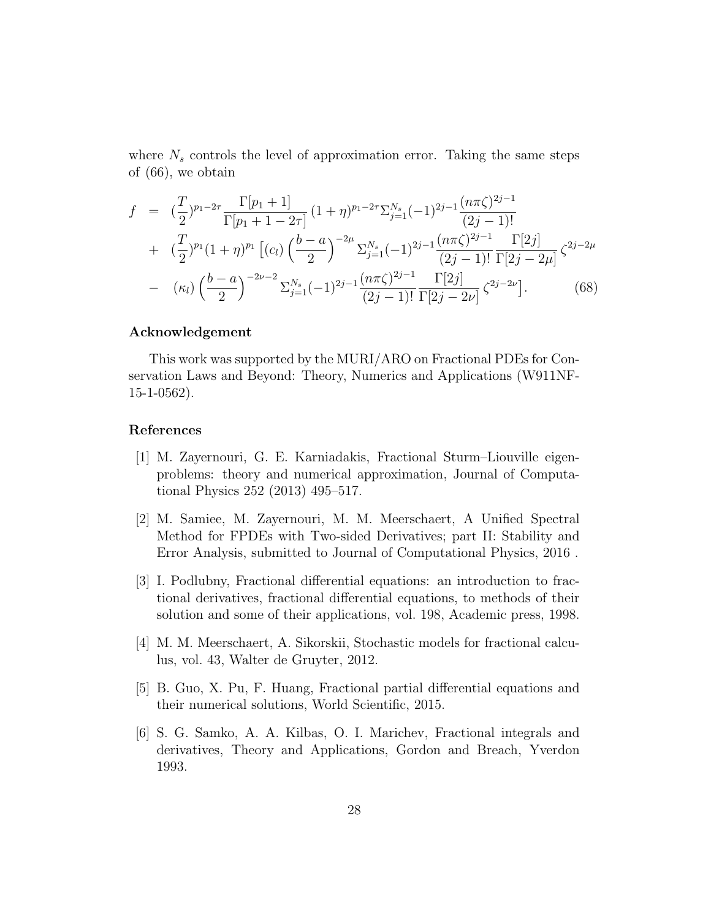where  $N_s$  controls the level of approximation error. Taking the same steps of (66), we obtain

$$
f = \left(\frac{T}{2}\right)^{p_1 - 2\tau} \frac{\Gamma[p_1 + 1]}{\Gamma[p_1 + 1 - 2\tau]} \left(1 + \eta\right)^{p_1 - 2\tau} \sum_{j=1}^{N_s} (-1)^{2j-1} \frac{(n\pi\zeta)^{2j-1}}{(2j-1)!} + \left(\frac{T}{2}\right)^{p_1} (1 + \eta)^{p_1} \left[ (c_l) \left(\frac{b-a}{2}\right)^{-2\mu} \sum_{j=1}^{N_s} (-1)^{2j-1} \frac{(n\pi\zeta)^{2j-1}}{(2j-1)!} \frac{\Gamma[2j]}{\Gamma[2j-2\mu]} \zeta^{2j-2\mu} - \left(\kappa_l\right) \left(\frac{b-a}{2}\right)^{-2\nu-2} \sum_{j=1}^{N_s} (-1)^{2j-1} \frac{(n\pi\zeta)^{2j-1}}{(2j-1)!} \frac{\Gamma[2j]}{\Gamma[2j-2\nu]} \zeta^{2j-2\nu} \right].
$$
 (68)

# Acknowledgement

This work was supported by the MURI/ARO on Fractional PDEs for Conservation Laws and Beyond: Theory, Numerics and Applications (W911NF-15-1-0562).

#### References

- [1] M. Zayernouri, G. E. Karniadakis, Fractional Sturm–Liouville eigenproblems: theory and numerical approximation, Journal of Computational Physics 252 (2013) 495–517.
- [2] M. Samiee, M. Zayernouri, M. M. Meerschaert, A Unified Spectral Method for FPDEs with Two-sided Derivatives; part II: Stability and Error Analysis, submitted to Journal of Computational Physics, 2016 .
- [3] I. Podlubny, Fractional differential equations: an introduction to fractional derivatives, fractional differential equations, to methods of their solution and some of their applications, vol. 198, Academic press, 1998.
- [4] M. M. Meerschaert, A. Sikorskii, Stochastic models for fractional calculus, vol. 43, Walter de Gruyter, 2012.
- [5] B. Guo, X. Pu, F. Huang, Fractional partial differential equations and their numerical solutions, World Scientific, 2015.
- [6] S. G. Samko, A. A. Kilbas, O. I. Marichev, Fractional integrals and derivatives, Theory and Applications, Gordon and Breach, Yverdon 1993.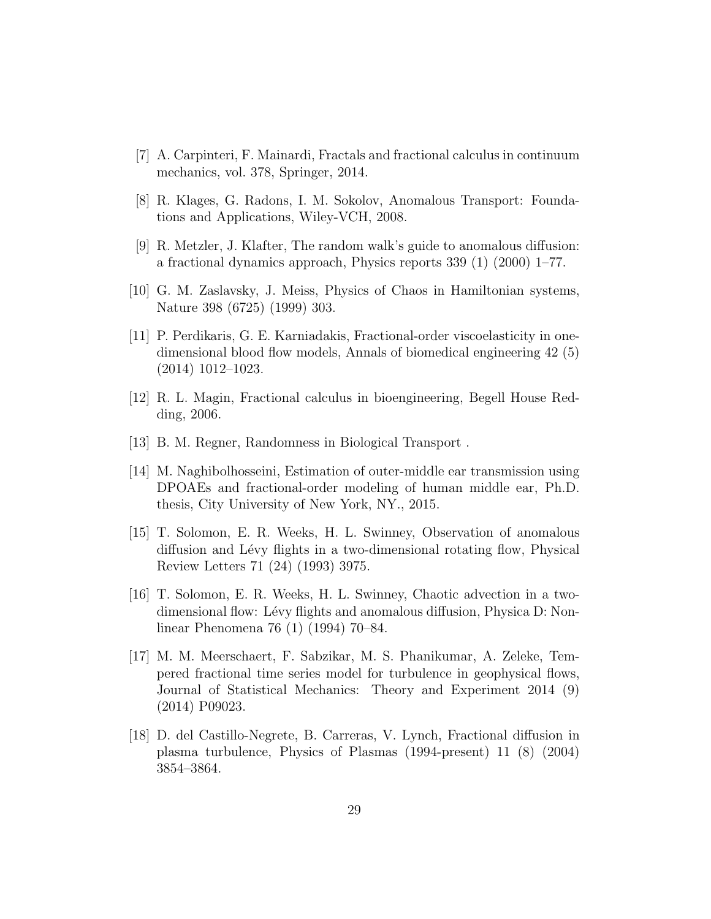- [7] A. Carpinteri, F. Mainardi, Fractals and fractional calculus in continuum mechanics, vol. 378, Springer, 2014.
- [8] R. Klages, G. Radons, I. M. Sokolov, Anomalous Transport: Foundations and Applications, Wiley-VCH, 2008.
- [9] R. Metzler, J. Klafter, The random walk's guide to anomalous diffusion: a fractional dynamics approach, Physics reports 339 (1) (2000) 1–77.
- [10] G. M. Zaslavsky, J. Meiss, Physics of Chaos in Hamiltonian systems, Nature 398 (6725) (1999) 303.
- [11] P. Perdikaris, G. E. Karniadakis, Fractional-order viscoelasticity in onedimensional blood flow models, Annals of biomedical engineering 42 (5) (2014) 1012–1023.
- [12] R. L. Magin, Fractional calculus in bioengineering, Begell House Redding, 2006.
- [13] B. M. Regner, Randomness in Biological Transport .
- [14] M. Naghibolhosseini, Estimation of outer-middle ear transmission using DPOAEs and fractional-order modeling of human middle ear, Ph.D. thesis, City University of New York, NY., 2015.
- [15] T. Solomon, E. R. Weeks, H. L. Swinney, Observation of anomalous diffusion and Lévy flights in a two-dimensional rotating flow, Physical Review Letters 71 (24) (1993) 3975.
- [16] T. Solomon, E. R. Weeks, H. L. Swinney, Chaotic advection in a twodimensional flow: Lévy flights and anomalous diffusion, Physica D: Nonlinear Phenomena 76 (1) (1994) 70–84.
- [17] M. M. Meerschaert, F. Sabzikar, M. S. Phanikumar, A. Zeleke, Tempered fractional time series model for turbulence in geophysical flows, Journal of Statistical Mechanics: Theory and Experiment 2014 (9) (2014) P09023.
- [18] D. del Castillo-Negrete, B. Carreras, V. Lynch, Fractional diffusion in plasma turbulence, Physics of Plasmas (1994-present) 11 (8) (2004) 3854–3864.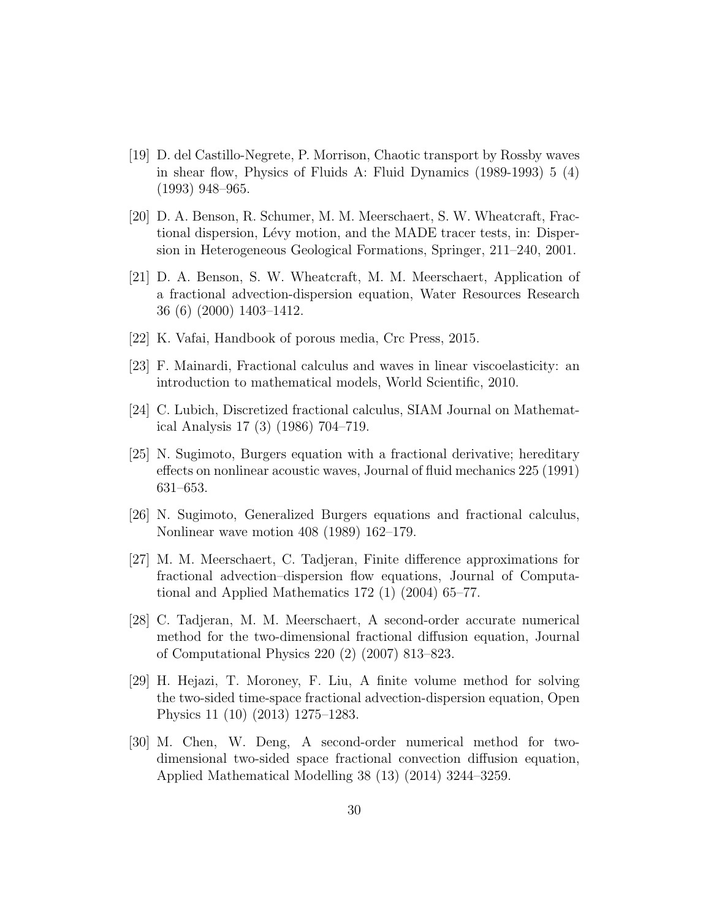- [19] D. del Castillo-Negrete, P. Morrison, Chaotic transport by Rossby waves in shear flow, Physics of Fluids A: Fluid Dynamics (1989-1993) 5 (4) (1993) 948–965.
- [20] D. A. Benson, R. Schumer, M. M. Meerschaert, S. W. Wheatcraft, Fractional dispersion, Lévy motion, and the MADE tracer tests, in: Dispersion in Heterogeneous Geological Formations, Springer, 211–240, 2001.
- [21] D. A. Benson, S. W. Wheatcraft, M. M. Meerschaert, Application of a fractional advection-dispersion equation, Water Resources Research 36 (6) (2000) 1403–1412.
- [22] K. Vafai, Handbook of porous media, Crc Press, 2015.
- [23] F. Mainardi, Fractional calculus and waves in linear viscoelasticity: an introduction to mathematical models, World Scientific, 2010.
- [24] C. Lubich, Discretized fractional calculus, SIAM Journal on Mathematical Analysis 17 (3) (1986) 704–719.
- [25] N. Sugimoto, Burgers equation with a fractional derivative; hereditary effects on nonlinear acoustic waves, Journal of fluid mechanics 225 (1991) 631–653.
- [26] N. Sugimoto, Generalized Burgers equations and fractional calculus, Nonlinear wave motion 408 (1989) 162–179.
- [27] M. M. Meerschaert, C. Tadjeran, Finite difference approximations for fractional advection–dispersion flow equations, Journal of Computational and Applied Mathematics 172 (1) (2004) 65–77.
- [28] C. Tadjeran, M. M. Meerschaert, A second-order accurate numerical method for the two-dimensional fractional diffusion equation, Journal of Computational Physics 220 (2) (2007) 813–823.
- [29] H. Hejazi, T. Moroney, F. Liu, A finite volume method for solving the two-sided time-space fractional advection-dispersion equation, Open Physics 11 (10) (2013) 1275–1283.
- [30] M. Chen, W. Deng, A second-order numerical method for twodimensional two-sided space fractional convection diffusion equation, Applied Mathematical Modelling 38 (13) (2014) 3244–3259.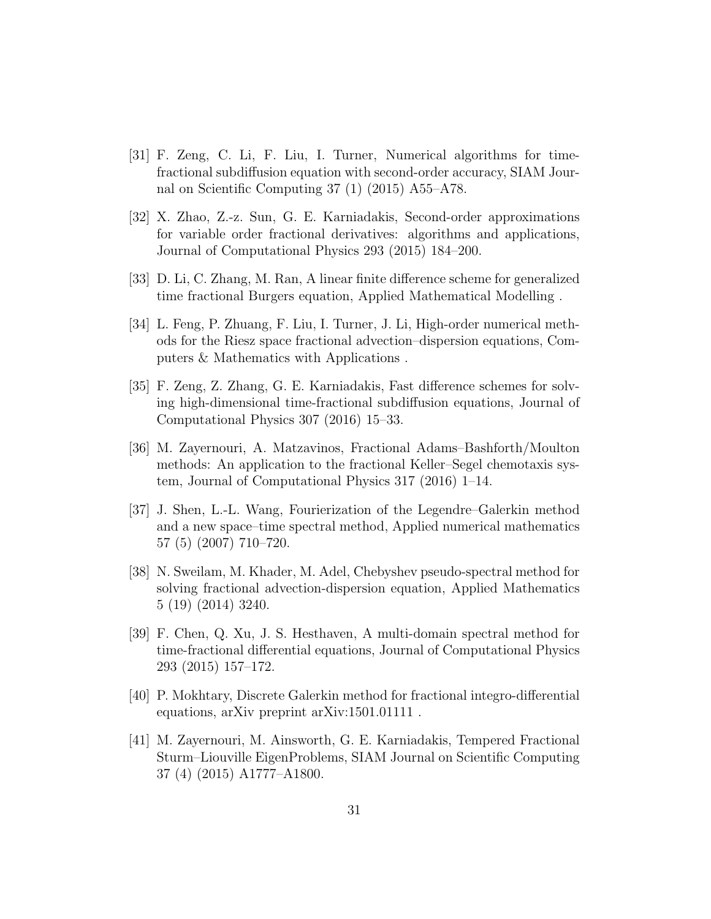- [31] F. Zeng, C. Li, F. Liu, I. Turner, Numerical algorithms for timefractional subdiffusion equation with second-order accuracy, SIAM Journal on Scientific Computing 37 (1) (2015) A55–A78.
- [32] X. Zhao, Z.-z. Sun, G. E. Karniadakis, Second-order approximations for variable order fractional derivatives: algorithms and applications, Journal of Computational Physics 293 (2015) 184–200.
- [33] D. Li, C. Zhang, M. Ran, A linear finite difference scheme for generalized time fractional Burgers equation, Applied Mathematical Modelling .
- [34] L. Feng, P. Zhuang, F. Liu, I. Turner, J. Li, High-order numerical methods for the Riesz space fractional advection–dispersion equations, Computers & Mathematics with Applications .
- [35] F. Zeng, Z. Zhang, G. E. Karniadakis, Fast difference schemes for solving high-dimensional time-fractional subdiffusion equations, Journal of Computational Physics 307 (2016) 15–33.
- [36] M. Zayernouri, A. Matzavinos, Fractional Adams–Bashforth/Moulton methods: An application to the fractional Keller–Segel chemotaxis system, Journal of Computational Physics 317 (2016) 1–14.
- [37] J. Shen, L.-L. Wang, Fourierization of the Legendre–Galerkin method and a new space–time spectral method, Applied numerical mathematics 57 (5) (2007) 710–720.
- [38] N. Sweilam, M. Khader, M. Adel, Chebyshev pseudo-spectral method for solving fractional advection-dispersion equation, Applied Mathematics 5 (19) (2014) 3240.
- [39] F. Chen, Q. Xu, J. S. Hesthaven, A multi-domain spectral method for time-fractional differential equations, Journal of Computational Physics 293 (2015) 157–172.
- [40] P. Mokhtary, Discrete Galerkin method for fractional integro-differential equations, arXiv preprint arXiv:1501.01111 .
- [41] M. Zayernouri, M. Ainsworth, G. E. Karniadakis, Tempered Fractional Sturm–Liouville EigenProblems, SIAM Journal on Scientific Computing 37 (4) (2015) A1777–A1800.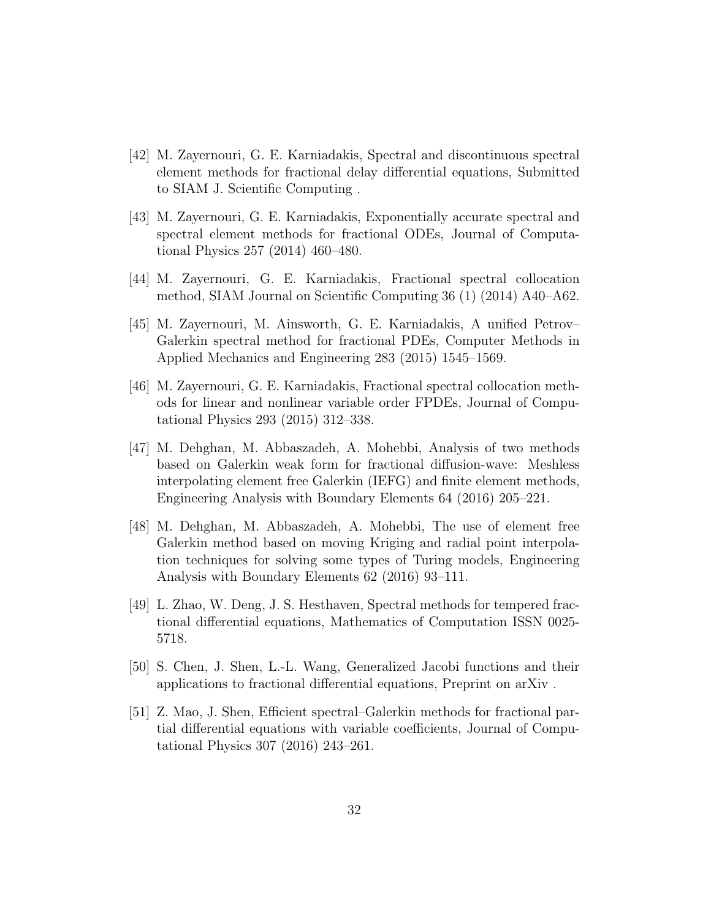- [42] M. Zayernouri, G. E. Karniadakis, Spectral and discontinuous spectral element methods for fractional delay differential equations, Submitted to SIAM J. Scientific Computing .
- [43] M. Zayernouri, G. E. Karniadakis, Exponentially accurate spectral and spectral element methods for fractional ODEs, Journal of Computational Physics 257 (2014) 460–480.
- [44] M. Zayernouri, G. E. Karniadakis, Fractional spectral collocation method, SIAM Journal on Scientific Computing 36 (1) (2014) A40–A62.
- [45] M. Zayernouri, M. Ainsworth, G. E. Karniadakis, A unified Petrov– Galerkin spectral method for fractional PDEs, Computer Methods in Applied Mechanics and Engineering 283 (2015) 1545–1569.
- [46] M. Zayernouri, G. E. Karniadakis, Fractional spectral collocation methods for linear and nonlinear variable order FPDEs, Journal of Computational Physics 293 (2015) 312–338.
- [47] M. Dehghan, M. Abbaszadeh, A. Mohebbi, Analysis of two methods based on Galerkin weak form for fractional diffusion-wave: Meshless interpolating element free Galerkin (IEFG) and finite element methods, Engineering Analysis with Boundary Elements 64 (2016) 205–221.
- [48] M. Dehghan, M. Abbaszadeh, A. Mohebbi, The use of element free Galerkin method based on moving Kriging and radial point interpolation techniques for solving some types of Turing models, Engineering Analysis with Boundary Elements 62 (2016) 93–111.
- [49] L. Zhao, W. Deng, J. S. Hesthaven, Spectral methods for tempered fractional differential equations, Mathematics of Computation ISSN 0025- 5718.
- [50] S. Chen, J. Shen, L.-L. Wang, Generalized Jacobi functions and their applications to fractional differential equations, Preprint on arXiv .
- [51] Z. Mao, J. Shen, Efficient spectral–Galerkin methods for fractional partial differential equations with variable coefficients, Journal of Computational Physics 307 (2016) 243–261.